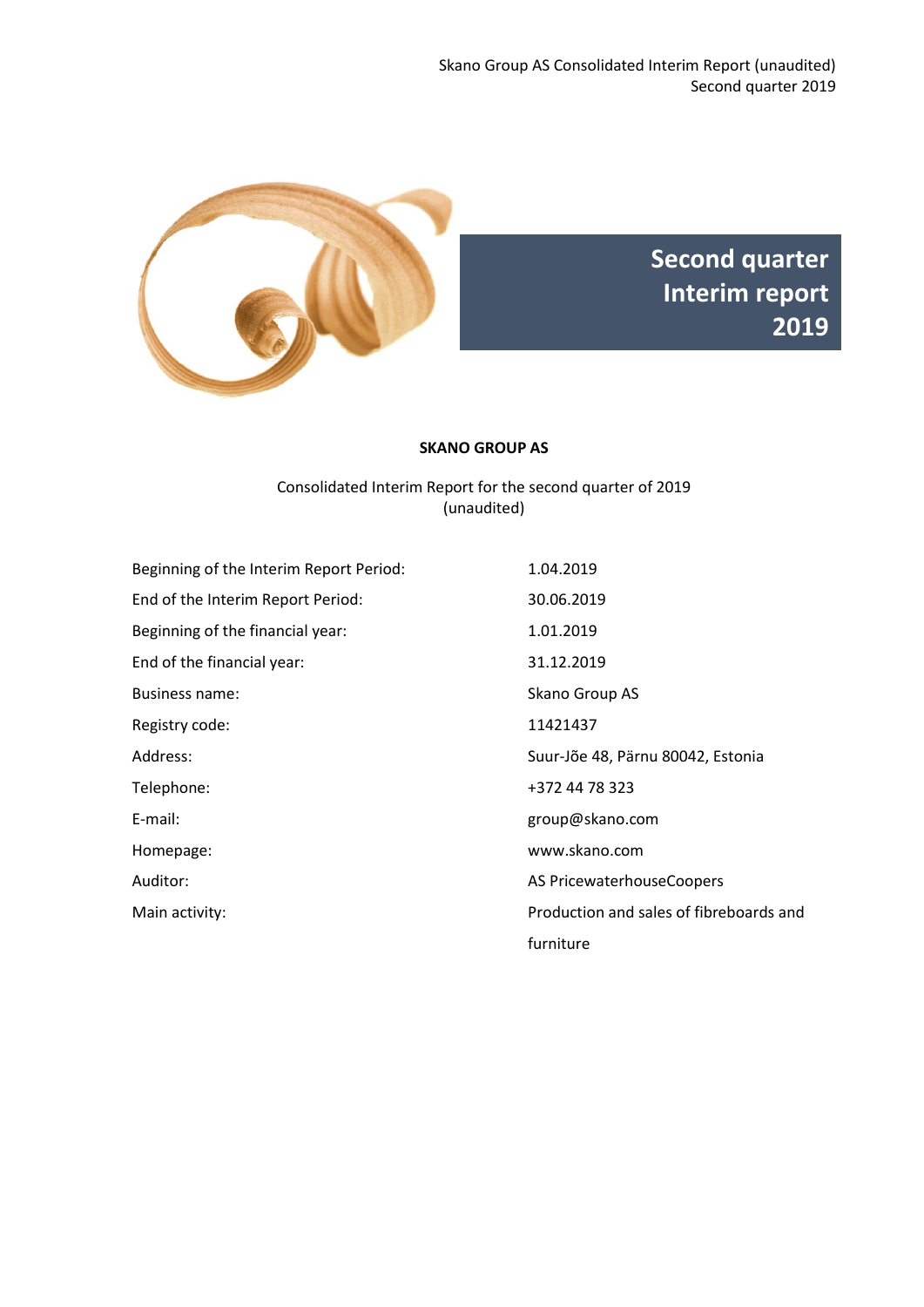



#### **SKANO GROUP AS**

## Consolidated Interim Report for the second quarter of 2019 (unaudited)

| Beginning of the Interim Report Period: | 1.04.2019                               |
|-----------------------------------------|-----------------------------------------|
| End of the Interim Report Period:       | 30.06.2019                              |
| Beginning of the financial year:        | 1.01.2019                               |
| End of the financial year:              | 31.12.2019                              |
| <b>Business name:</b>                   | Skano Group AS                          |
| Registry code:                          | 11421437                                |
| Address:                                | Suur-Jõe 48, Pärnu 80042, Estonia       |
| Telephone:                              | +372 44 78 323                          |
| E-mail:                                 | group@skano.com                         |
| Homepage:                               | www.skano.com                           |
| Auditor:                                | AS PricewaterhouseCoopers               |
| Main activity:                          | Production and sales of fibreboards and |
|                                         | furniture                               |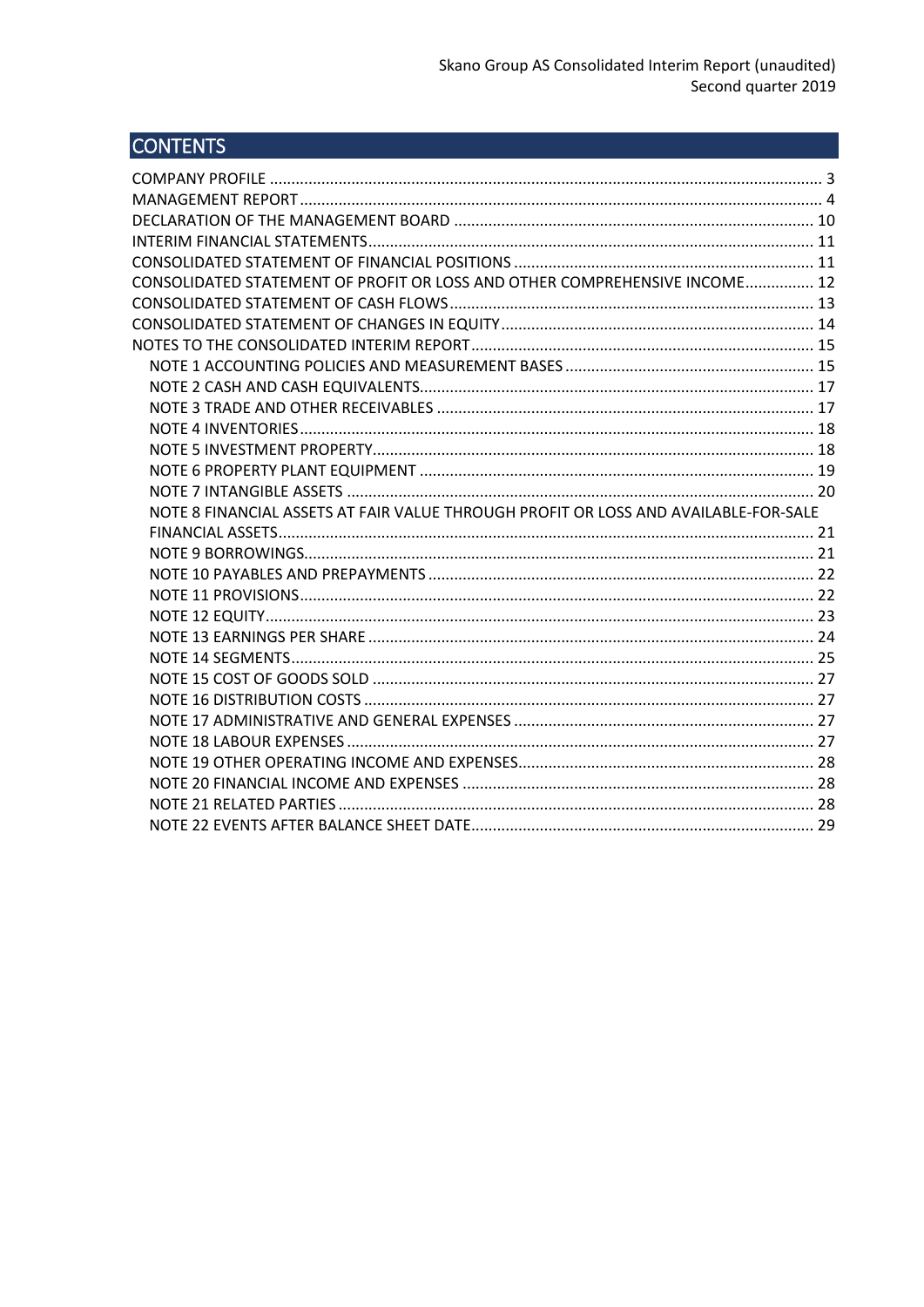# **CONTENTS**

| CONSOLIDATED STATEMENT OF PROFIT OR LOSS AND OTHER COMPREHENSIVE INCOME 12          |  |
|-------------------------------------------------------------------------------------|--|
|                                                                                     |  |
|                                                                                     |  |
|                                                                                     |  |
|                                                                                     |  |
|                                                                                     |  |
|                                                                                     |  |
|                                                                                     |  |
|                                                                                     |  |
|                                                                                     |  |
|                                                                                     |  |
|                                                                                     |  |
| NOTE 8 FINANCIAL ASSETS AT FAIR VALUE THROUGH PROFIT OR LOSS AND AVAILABLE-FOR-SALE |  |
|                                                                                     |  |
|                                                                                     |  |
|                                                                                     |  |
|                                                                                     |  |
|                                                                                     |  |
|                                                                                     |  |
|                                                                                     |  |
|                                                                                     |  |
|                                                                                     |  |
|                                                                                     |  |
|                                                                                     |  |
|                                                                                     |  |
|                                                                                     |  |
|                                                                                     |  |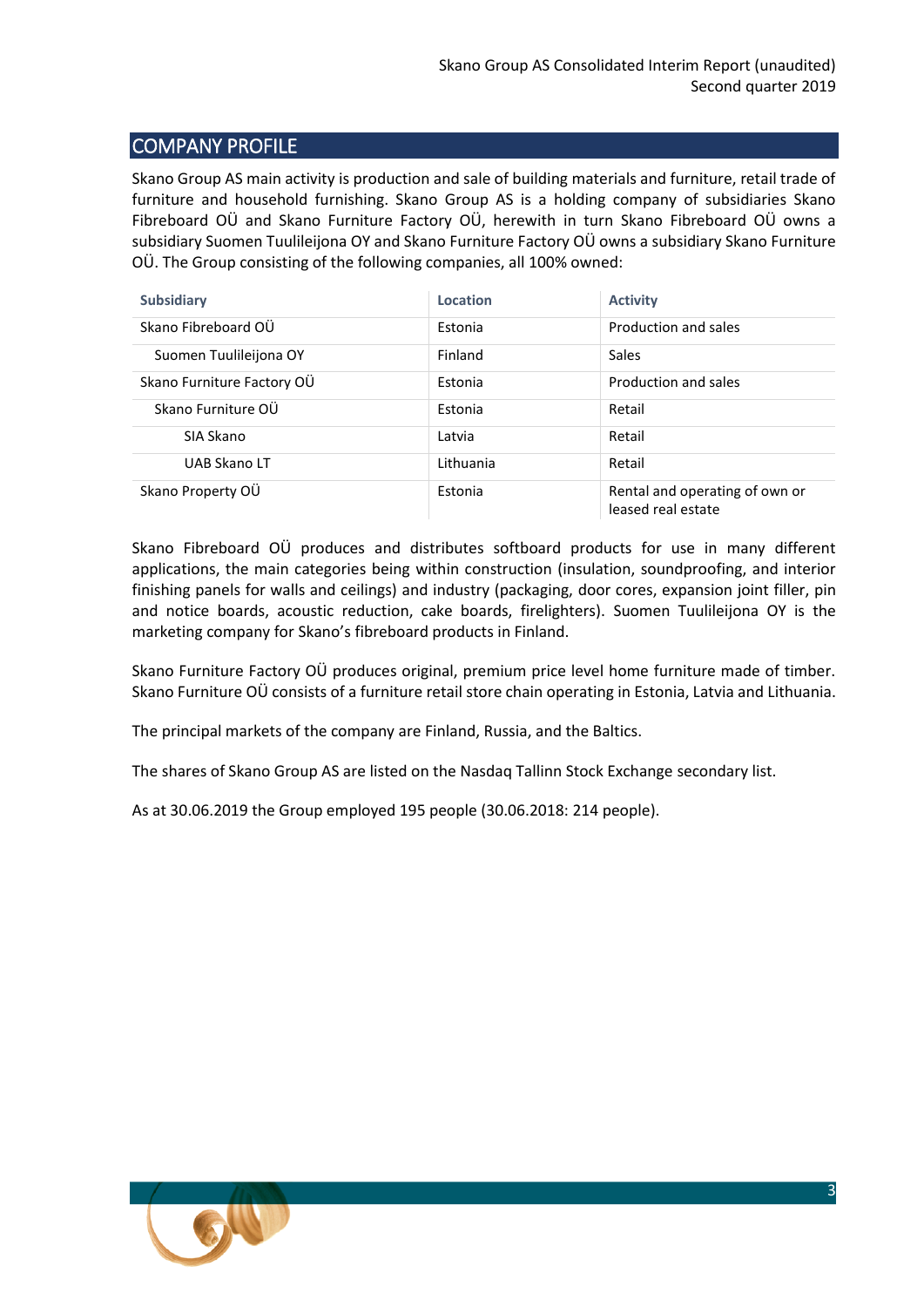## <span id="page-2-0"></span>COMPANY PROFILE

Skano Group AS main activity is production and sale of building materials and furniture, retail trade of furniture and household furnishing. Skano Group AS is a holding company of subsidiaries Skano Fibreboard OÜ and Skano Furniture Factory OÜ, herewith in turn Skano Fibreboard OÜ owns a subsidiary Suomen Tuulileijona OY and Skano Furniture Factory OÜ owns a subsidiary Skano Furniture OÜ. The Group consisting of the following companies, all 100% owned:

| <b>Subsidiary</b>          | Location  | <b>Activity</b>                                      |
|----------------------------|-----------|------------------------------------------------------|
| Skano Fibreboard OÜ        | Estonia   | Production and sales                                 |
| Suomen Tuulileijona OY     | Finland   | Sales                                                |
| Skano Furniture Factory OU | Estonia   | Production and sales                                 |
| Skano Furniture OÜ         | Estonia   | Retail                                               |
| SIA Skano                  | Latvia    | Retail                                               |
| <b>UAB Skano LT</b>        | Lithuania | Retail                                               |
| Skano Property OÜ          | Estonia   | Rental and operating of own or<br>leased real estate |

Skano Fibreboard OÜ produces and distributes softboard products for use in many different applications, the main categories being within construction (insulation, soundproofing, and interior finishing panels for walls and ceilings) and industry (packaging, door cores, expansion joint filler, pin and notice boards, acoustic reduction, cake boards, firelighters). Suomen Tuulileijona OY is the marketing company for Skano's fibreboard products in Finland.

Skano Furniture Factory OÜ produces original, premium price level home furniture made of timber. Skano Furniture OÜ consists of a furniture retail store chain operating in Estonia, Latvia and Lithuania.

The principal markets of the company are Finland, Russia, and the Baltics.

The shares of Skano Group AS are listed on the Nasdaq Tallinn Stock Exchange secondary list.

As at 30.06.2019 the Group employed 195 people (30.06.2018: 214 people).

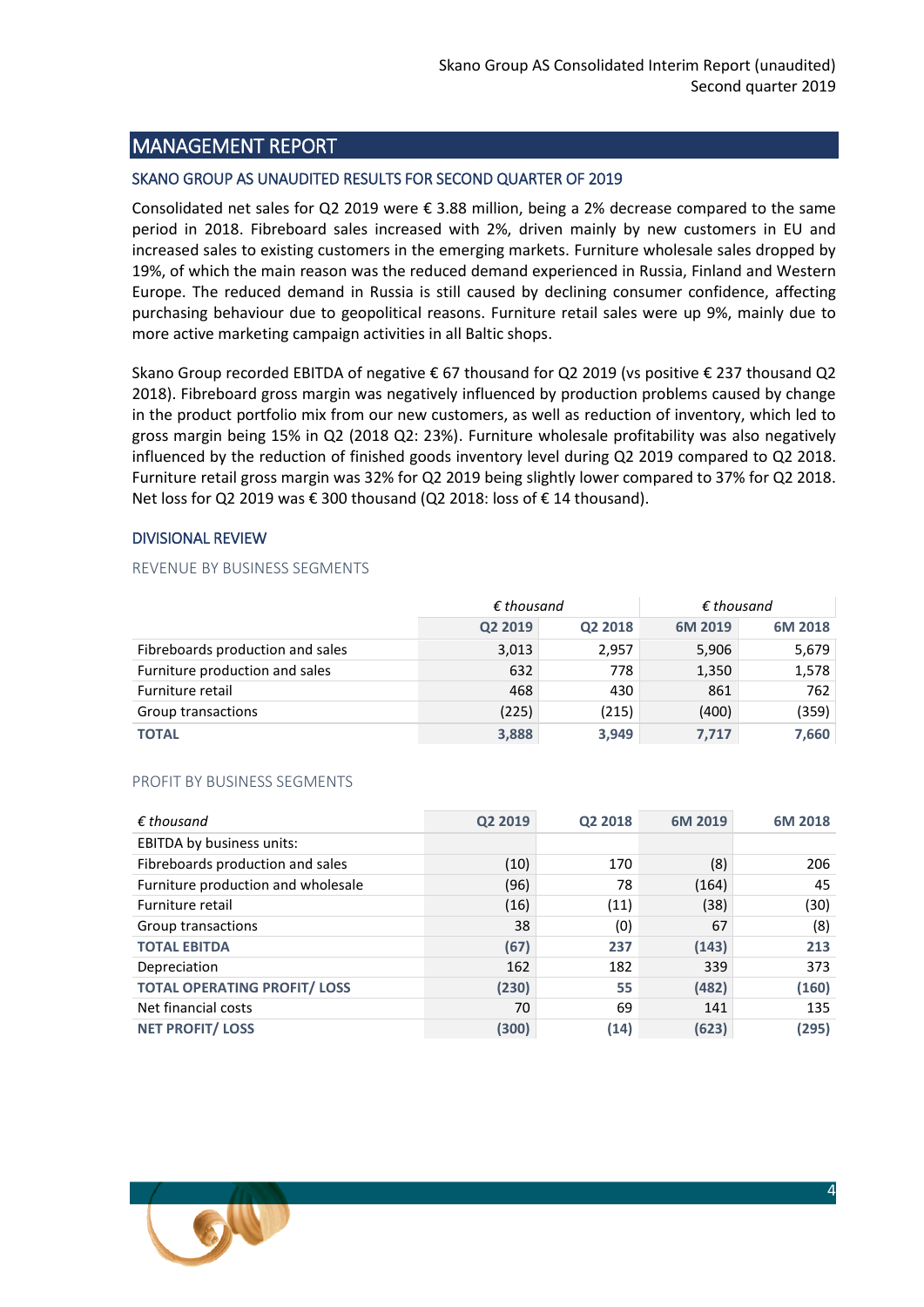## <span id="page-3-0"></span>MANAGEMENT REPORT

#### SKANO GROUP AS UNAUDITED RESULTS FOR SECOND QUARTER OF 2019

Consolidated net sales for Q2 2019 were € 3.88 million, being a 2% decrease compared to the same period in 2018. Fibreboard sales increased with 2%, driven mainly by new customers in EU and increased sales to existing customers in the emerging markets. Furniture wholesale sales dropped by 19%, of which the main reason was the reduced demand experienced in Russia, Finland and Western Europe. The reduced demand in Russia is still caused by declining consumer confidence, affecting purchasing behaviour due to geopolitical reasons. Furniture retail sales were up 9%, mainly due to more active marketing campaign activities in all Baltic shops.

Skano Group recorded EBITDA of negative € 67 thousand for Q2 2019 (vs positive € 237 thousand Q2 2018). Fibreboard gross margin was negatively influenced by production problems caused by change in the product portfolio mix from our new customers, as well as reduction of inventory, which led to gross margin being 15% in Q2 (2018 Q2: 23%). Furniture wholesale profitability was also negatively influenced by the reduction of finished goods inventory level during Q2 2019 compared to Q2 2018. Furniture retail gross margin was 32% for Q2 2019 being slightly lower compared to 37% for Q2 2018. Net loss for Q2 2019 was € 300 thousand (Q2 2018: loss of € 14 thousand).

#### DIVISIONAL REVIEW

#### REVENUE BY BUSINESS SEGMENTS

|                                  | $\epsilon$ thousand |         | $\epsilon$ thousand |         |
|----------------------------------|---------------------|---------|---------------------|---------|
|                                  | Q2 2019             | Q2 2018 | 6M 2019             | 6M 2018 |
| Fibreboards production and sales | 3,013               | 2,957   | 5,906               | 5,679   |
| Furniture production and sales   | 632                 | 778     | 1,350               | 1,578   |
| Furniture retail                 | 468                 | 430     | 861                 | 762     |
| Group transactions               | (225)               | (215)   | (400)               | (359)   |
| <b>TOTAL</b>                     | 3,888               | 3,949   | 7,717               | 7,660   |

#### PROFIT BY BUSINESS SEGMENTS

| $\epsilon$ thousand                | Q2 2019 | Q2 2018 | 6M 2019 | 6M 2018 |
|------------------------------------|---------|---------|---------|---------|
| <b>EBITDA by business units:</b>   |         |         |         |         |
| Fibreboards production and sales   | (10)    | 170     | (8)     | 206     |
| Furniture production and wholesale | (96)    | 78      | (164)   | 45      |
| Furniture retail                   | (16)    | (11)    | (38)    | (30)    |
| Group transactions                 | 38      | (0)     | 67      | (8)     |
| <b>TOTAL EBITDA</b>                | (67)    | 237     | (143)   | 213     |
| Depreciation                       | 162     | 182     | 339     | 373     |
| <b>TOTAL OPERATING PROFIT/LOSS</b> | (230)   | 55      | (482)   | (160)   |
| Net financial costs                | 70      | 69      | 141     | 135     |
| <b>NET PROFIT/LOSS</b>             | (300)   | (14)    | (623)   | (295)   |

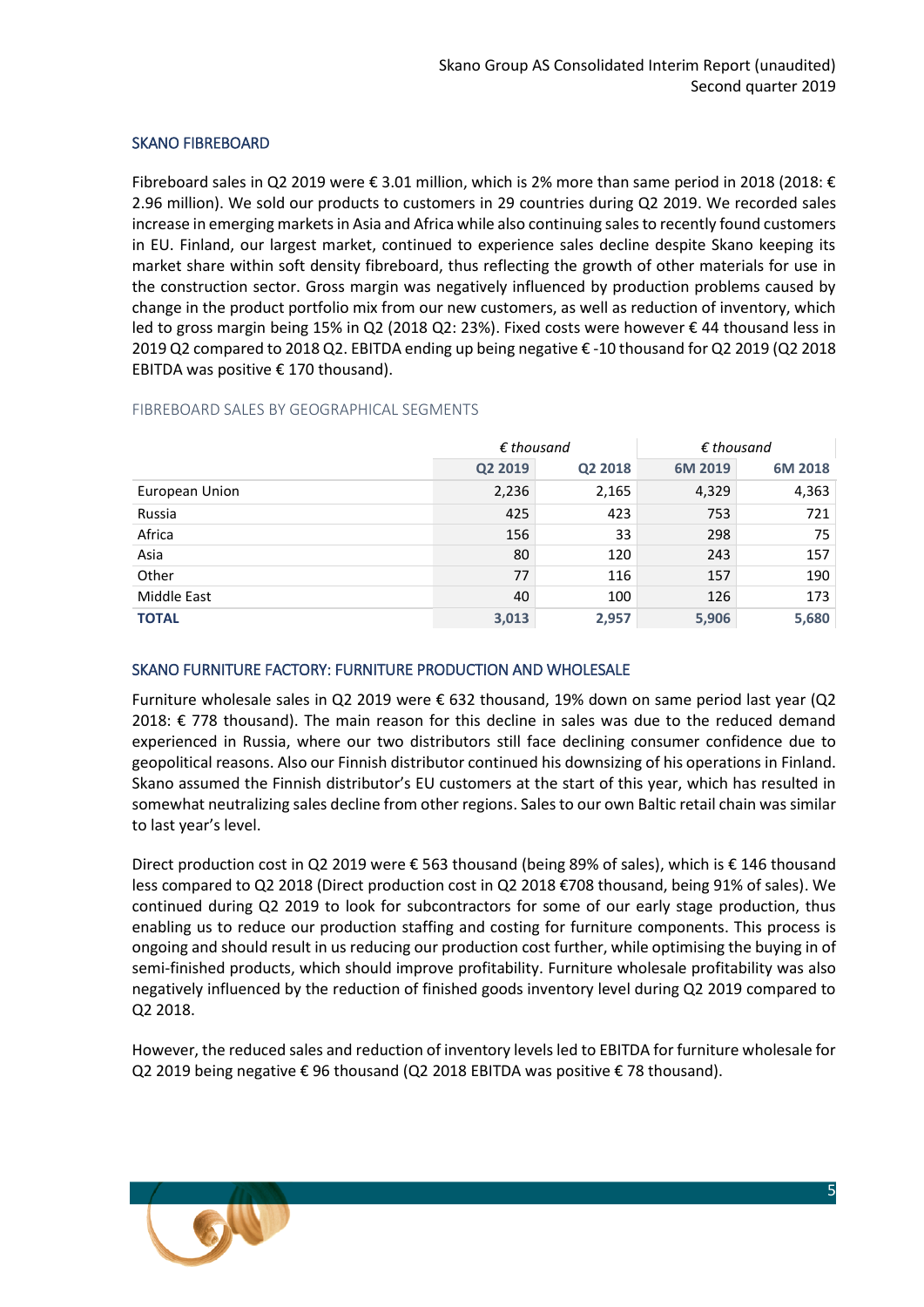#### SKANO FIBREBOARD

Fibreboard sales in Q2 2019 were € 3.01 million, which is 2% more than same period in 2018 (2018: € 2.96 million). We sold our products to customers in 29 countries during Q2 2019. We recorded sales increase in emerging markets in Asia and Africa while also continuing sales to recently found customers in EU. Finland, our largest market, continued to experience sales decline despite Skano keeping its market share within soft density fibreboard, thus reflecting the growth of other materials for use in the construction sector. Gross margin was negatively influenced by production problems caused by change in the product portfolio mix from our new customers, as well as reduction of inventory, which led to gross margin being 15% in Q2 (2018 Q2: 23%). Fixed costs were however € 44 thousand less in 2019 Q2 compared to 2018 Q2. EBITDA ending up being negative € -10 thousand for Q2 2019 (Q2 2018 EBITDA was positive  $\epsilon$  170 thousand).

#### FIBREBOARD SALES BY GEOGRAPHICAL SEGMENTS

|                | $\epsilon$ thousand |         | $\epsilon$ thousand |         |
|----------------|---------------------|---------|---------------------|---------|
|                | Q2 2019             | Q2 2018 | 6M 2019             | 6M 2018 |
| European Union | 2,236               | 2,165   | 4,329               | 4,363   |
| Russia         | 425                 | 423     | 753                 | 721     |
| Africa         | 156                 | 33      | 298                 | 75      |
| Asia           | 80                  | 120     | 243                 | 157     |
| Other          | 77                  | 116     | 157                 | 190     |
| Middle East    | 40                  | 100     | 126                 | 173     |
| <b>TOTAL</b>   | 3,013               | 2,957   | 5,906               | 5,680   |

#### SKANO FURNITURE FACTORY: FURNITURE PRODUCTION AND WHOLESALE

Furniture wholesale sales in Q2 2019 were € 632 thousand, 19% down on same period last year (Q2 2018: € 778 thousand). The main reason for this decline in sales was due to the reduced demand experienced in Russia, where our two distributors still face declining consumer confidence due to geopolitical reasons. Also our Finnish distributor continued his downsizing of his operations in Finland. Skano assumed the Finnish distributor's EU customers at the start of this year, which has resulted in somewhat neutralizing sales decline from other regions. Sales to our own Baltic retail chain was similar to last year's level.

Direct production cost in Q2 2019 were € 563 thousand (being 89% of sales), which is € 146 thousand less compared to Q2 2018 (Direct production cost in Q2 2018 €708 thousand, being 91% of sales). We continued during Q2 2019 to look for subcontractors for some of our early stage production, thus enabling us to reduce our production staffing and costing for furniture components. This process is ongoing and should result in us reducing our production cost further, while optimising the buying in of semi-finished products, which should improve profitability. Furniture wholesale profitability was also negatively influenced by the reduction of finished goods inventory level during Q2 2019 compared to Q2 2018.

However, the reduced sales and reduction of inventory levels led to EBITDA for furniture wholesale for Q2 2019 being negative € 96 thousand (Q2 2018 EBITDA was positive € 78 thousand).

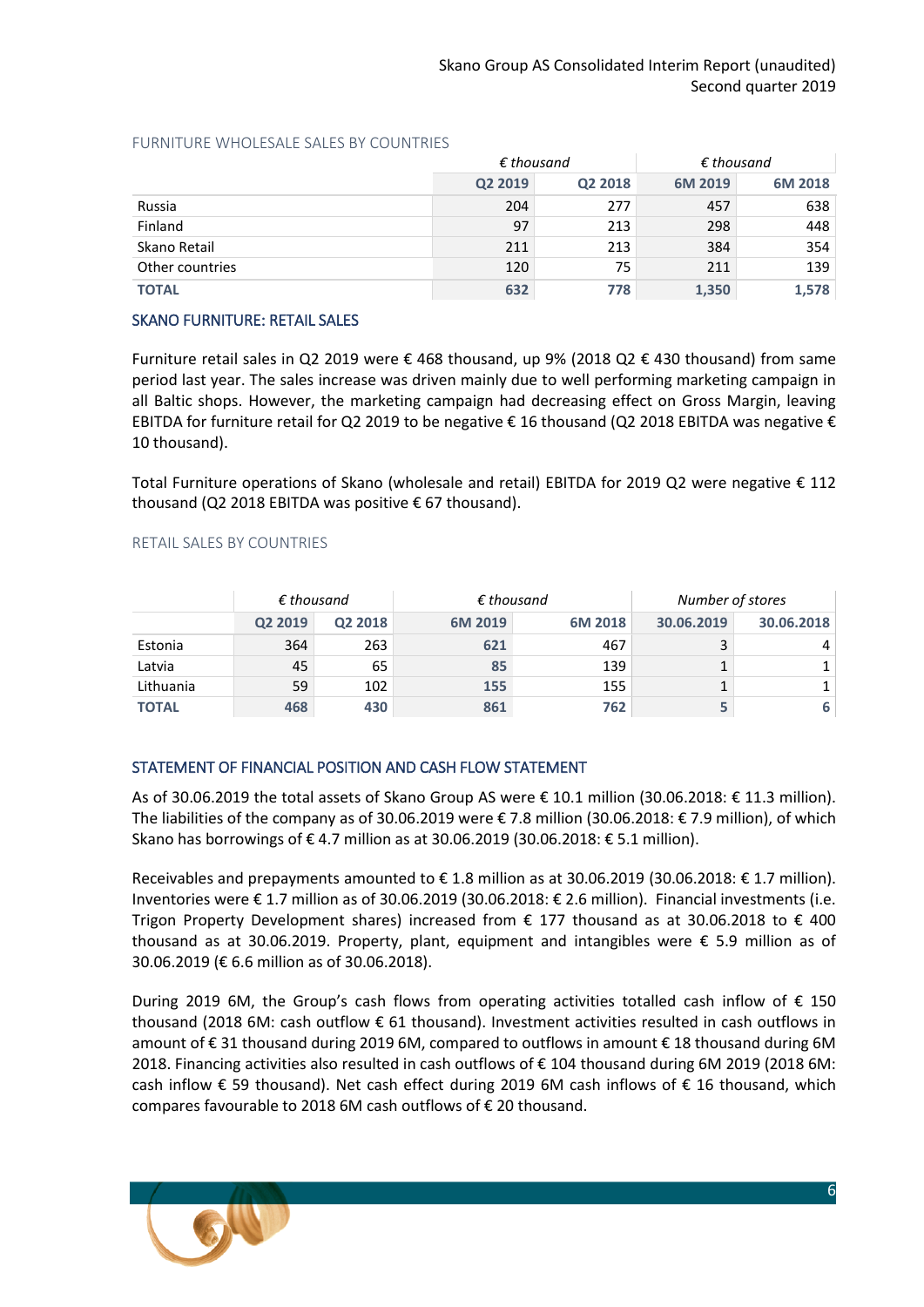|                 | $\epsilon$ thousand |         | $\epsilon$ thousand |         |  |
|-----------------|---------------------|---------|---------------------|---------|--|
|                 | Q2 2019             | Q2 2018 | 6M 2019             | 6M 2018 |  |
| Russia          | 204                 | 277     | 457                 | 638     |  |
| Finland         | 97                  | 213     | 298                 | 448     |  |
| Skano Retail    | 211                 | 213     | 384                 | 354     |  |
| Other countries | 120                 | 75      | 211                 | 139     |  |
| <b>TOTAL</b>    | 632                 | 778     | 1,350               | 1,578   |  |

#### FURNITURE WHOLESALE SALES BY COUNTRIES

#### SKANO FURNITURE: RETAIL SALES

Furniture retail sales in Q2 2019 were € 468 thousand, up 9% (2018 Q2 € 430 thousand) from same period last year. The sales increase was driven mainly due to well performing marketing campaign in all Baltic shops. However, the marketing campaign had decreasing effect on Gross Margin, leaving EBITDA for furniture retail for Q2 2019 to be negative  $\epsilon$  16 thousand (Q2 2018 EBITDA was negative  $\epsilon$ 10 thousand).

Total Furniture operations of Skano (wholesale and retail) EBITDA for 2019 Q2 were negative € 112 thousand (Q2 2018 EBITDA was positive € 67 thousand).

#### RETAIL SALES BY COUNTRIES

|              | $\epsilon$ thousand |                     | $\epsilon$ thousand |         | Number of stores |            |
|--------------|---------------------|---------------------|---------------------|---------|------------------|------------|
|              | Q2 2019             | Q <sub>2</sub> 2018 | 6M 2019             | 6M 2018 | 30.06.2019       | 30.06.2018 |
| Estonia      | 364                 | 263                 | 621                 | 467     |                  | 4          |
| Latvia       | 45                  | 65                  | 85                  | 139     |                  | $1\vert$   |
| Lithuania    | 59                  | 102                 | 155                 | 155     |                  | $1\,$      |
| <b>TOTAL</b> | 468                 | 430                 | 861                 | 762     |                  | 6          |

## STATEMENT OF FINANCIAL POSITION AND CASH FLOW STATEMENT

As of 30.06.2019 the total assets of Skano Group AS were € 10.1 million (30.06.2018: € 11.3 million). The liabilities of the company as of 30.06.2019 were  $\epsilon$  7.8 million (30.06.2018:  $\epsilon$  7.9 million), of which Skano has borrowings of € 4.7 million as at 30.06.2019 (30.06.2018: € 5.1 million).

Receivables and prepayments amounted to € 1.8 million as at 30.06.2019 (30.06.2018: € 1.7 million). Inventories were € 1.7 million as of 30.06.2019 (30.06.2018: € 2.6 million). Financial investments (i.e. Trigon Property Development shares) increased from  $\epsilon$  177 thousand as at 30.06.2018 to  $\epsilon$  400 thousand as at 30.06.2019. Property, plant, equipment and intangibles were € 5.9 million as of 30.06.2019 (€ 6.6 million as of 30.06.2018).

During 2019 6M, the Group's cash flows from operating activities totalled cash inflow of € 150 thousand (2018 6M: cash outflow € 61 thousand). Investment activities resulted in cash outflows in amount of € 31 thousand during 2019 6M, compared to outflows in amount € 18 thousand during 6M 2018. Financing activities also resulted in cash outflows of € 104 thousand during 6M 2019 (2018 6M: cash inflow € 59 thousand). Net cash effect during 2019 6M cash inflows of € 16 thousand, which compares favourable to 2018 6M cash outflows of € 20 thousand.

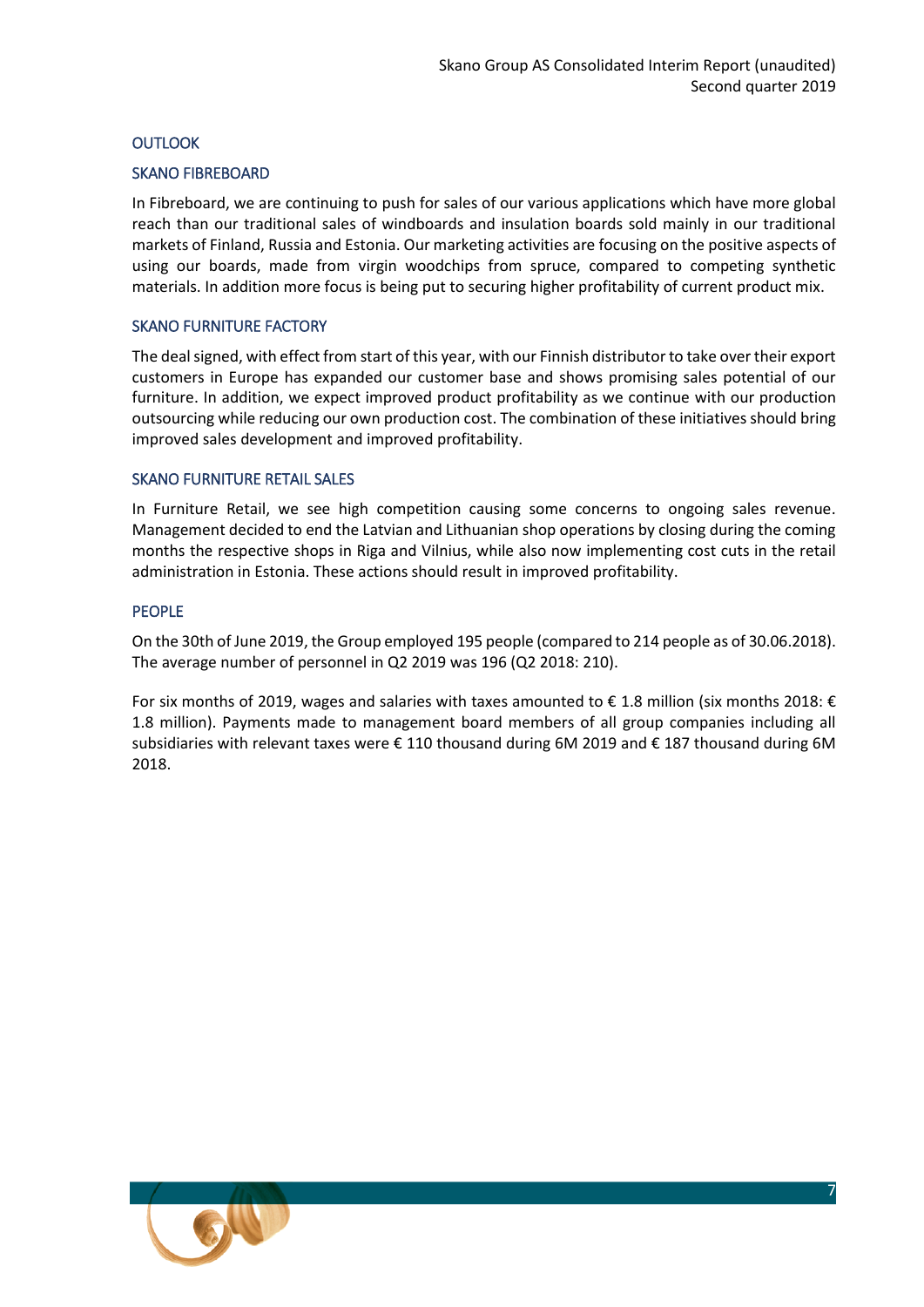#### **OUTLOOK**

#### SKANO FIBREBOARD

In Fibreboard, we are continuing to push for sales of our various applications which have more global reach than our traditional sales of windboards and insulation boards sold mainly in our traditional markets of Finland, Russia and Estonia. Our marketing activities are focusing on the positive aspects of using our boards, made from virgin woodchips from spruce, compared to competing synthetic materials. In addition more focus is being put to securing higher profitability of current product mix.

#### SKANO FURNITURE FACTORY

The deal signed, with effect from start of this year, with our Finnish distributor to take over their export customers in Europe has expanded our customer base and shows promising sales potential of our furniture. In addition, we expect improved product profitability as we continue with our production outsourcing while reducing our own production cost. The combination of these initiatives should bring improved sales development and improved profitability.

#### SKANO FURNITURE RETAIL SALES

In Furniture Retail, we see high competition causing some concerns to ongoing sales revenue. Management decided to end the Latvian and Lithuanian shop operations by closing during the coming months the respective shops in Riga and Vilnius, while also now implementing cost cuts in the retail administration in Estonia. These actions should result in improved profitability.

#### PEOPLE

On the 30th of June 2019, the Group employed 195 people (compared to 214 people as of 30.06.2018). The average number of personnel in Q2 2019 was 196 (Q2 2018: 210).

For six months of 2019, wages and salaries with taxes amounted to € 1.8 million (six months 2018: € 1.8 million). Payments made to management board members of all group companies including all subsidiaries with relevant taxes were € 110 thousand during 6M 2019 and € 187 thousand during 6M 2018.

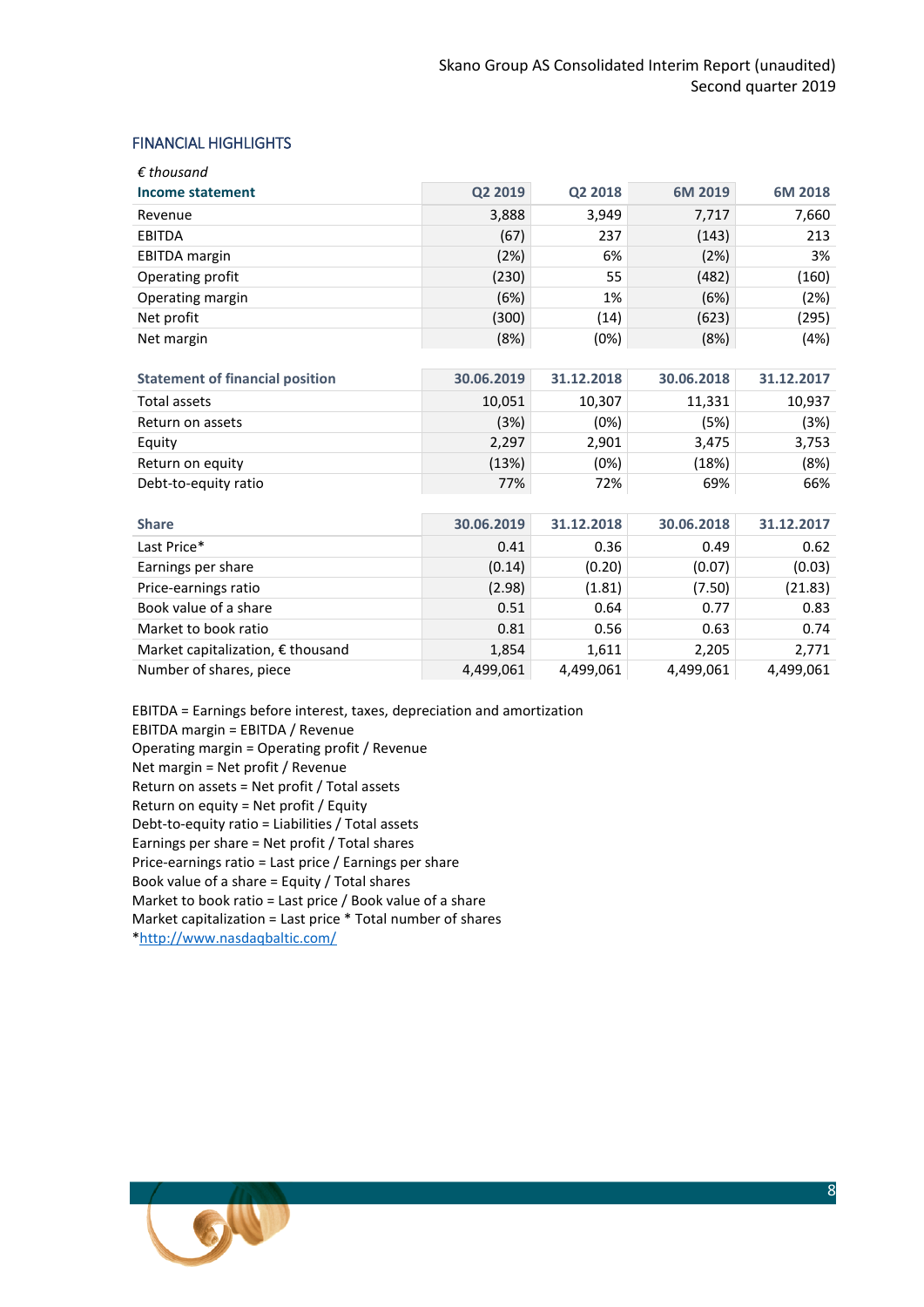#### FINANCIAL HIGHLIGHTS

| $\epsilon$ thousand  |         |         |         |         |
|----------------------|---------|---------|---------|---------|
| Income statement     | Q2 2019 | Q2 2018 | 6M 2019 | 6M 2018 |
| Revenue              | 3,888   | 3,949   | 7,717   | 7,660   |
| <b>EBITDA</b>        | (67)    | 237     | (143)   | 213     |
| <b>EBITDA</b> margin | (2%)    | 6%      | (2%)    | 3%      |
| Operating profit     | (230)   | 55      | (482)   | (160)   |
| Operating margin     | (6%)    | 1%      | (6%)    | (2%)    |
| Net profit           | (300)   | (14)    | (623)   | (295)   |
| Net margin           | (8%)    | (0%)    | (8%)    | (4%)    |

| <b>Statement of financial position</b> | 30.06.2019 | 31.12.2018 | 30.06.2018 | 31.12.2017 |
|----------------------------------------|------------|------------|------------|------------|
| Total assets                           | 10,051     | 10,307     | 11,331     | 10,937     |
| Return on assets                       | (3%)       | (0%)       | (5%)       | (3%)       |
| Equity                                 | 2,297      | 2,901      | 3,475      | 3,753      |
| Return on equity                       | (13%)      | (0%)       | (18%)      | (8%)       |
| Debt-to-equity ratio                   | 77%        | 72%        | 69%        | 66%        |

| <b>Share</b>                               | 30.06.2019 | 31.12.2018 | 30.06.2018 | 31.12.2017 |
|--------------------------------------------|------------|------------|------------|------------|
| Last Price*                                | 0.41       | 0.36       | 0.49       | 0.62       |
| Earnings per share                         | (0.14)     | (0.20)     | (0.07)     | (0.03)     |
| Price-earnings ratio                       | (2.98)     | (1.81)     | (7.50)     | (21.83)    |
| Book value of a share                      | 0.51       | 0.64       | 0.77       | 0.83       |
| Market to book ratio                       | 0.81       | 0.56       | 0.63       | 0.74       |
| Market capitalization, $\epsilon$ thousand | 1,854      | 1,611      | 2,205      | 2,771      |
| Number of shares, piece                    | 4,499,061  | 4,499,061  | 4,499,061  | 4,499,061  |

EBITDA = Earnings before interest, taxes, depreciation and amortization EBITDA margin = EBITDA / Revenue Operating margin = Operating profit / Revenue Net margin = Net profit / Revenue Return on assets = Net profit / Total assets Return on equity = Net profit / Equity Debt-to-equity ratio = Liabilities / Total assets Earnings per share = Net profit / Total shares Price-earnings ratio = Last price / Earnings per share Book value of a share = Equity / Total shares Market to book ratio = Last price / Book value of a share Market capitalization = Last price \* Total number of shares [\\*http://www.nasdaqbaltic.com/](http://www.nasdaqbaltic.com/)

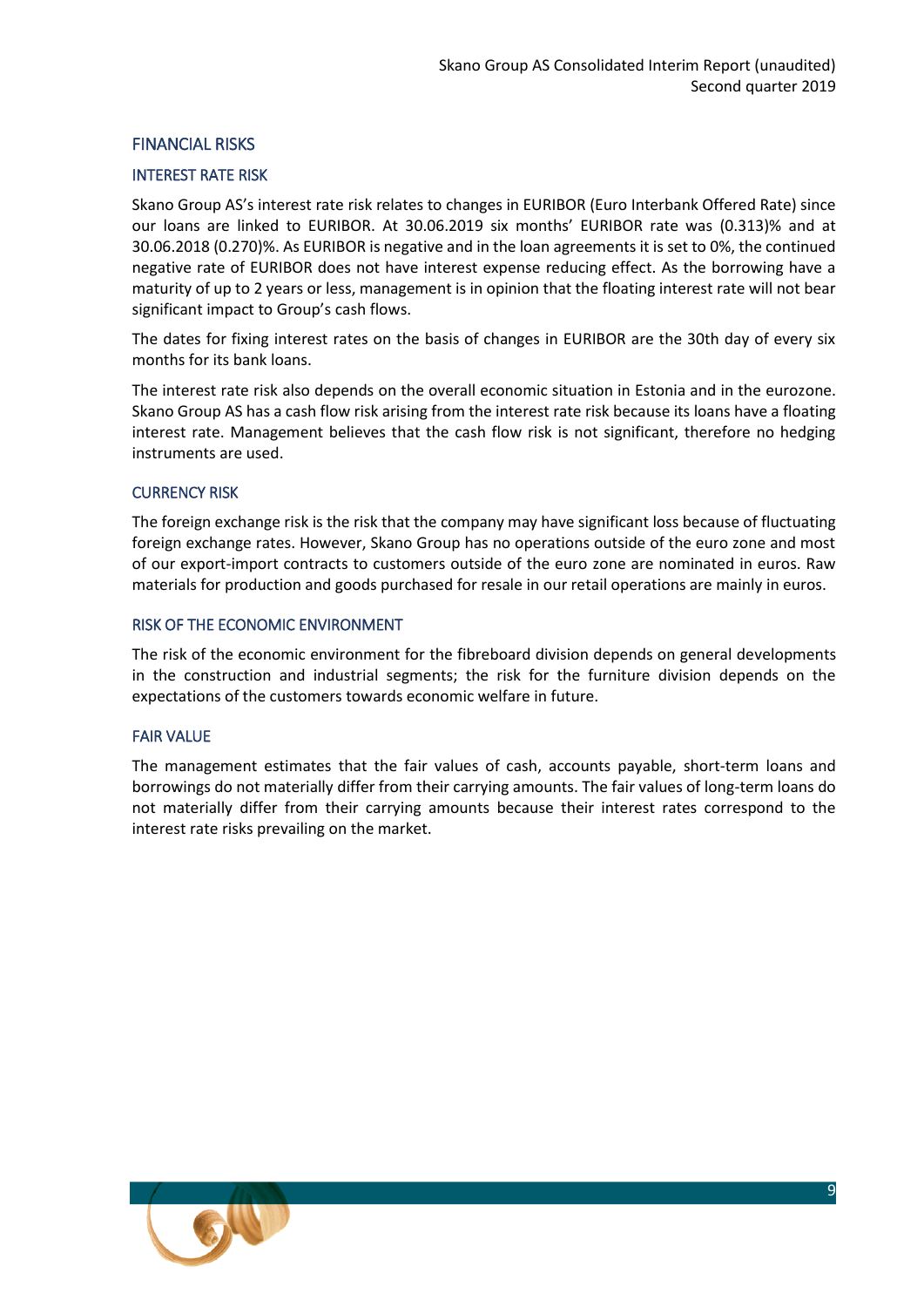#### FINANCIAL RISKS

#### INTEREST RATE RISK

Skano Group AS's interest rate risk relates to changes in EURIBOR (Euro Interbank Offered Rate) since our loans are linked to EURIBOR. At 30.06.2019 six months' EURIBOR rate was (0.313)% and at 30.06.2018 (0.270)%. As EURIBOR is negative and in the loan agreements it is set to 0%, the continued negative rate of EURIBOR does not have interest expense reducing effect. As the borrowing have a maturity of up to 2 years or less, management is in opinion that the floating interest rate will not bear significant impact to Group's cash flows.

The dates for fixing interest rates on the basis of changes in EURIBOR are the 30th day of every six months for its bank loans.

The interest rate risk also depends on the overall economic situation in Estonia and in the eurozone. Skano Group AS has a cash flow risk arising from the interest rate risk because its loans have a floating interest rate. Management believes that the cash flow risk is not significant, therefore no hedging instruments are used.

#### CURRENCY RISK

The foreign exchange risk is the risk that the company may have significant loss because of fluctuating foreign exchange rates. However, Skano Group has no operations outside of the euro zone and most of our export-import contracts to customers outside of the euro zone are nominated in euros. Raw materials for production and goods purchased for resale in our retail operations are mainly in euros.

#### RISK OF THE ECONOMIC ENVIRONMENT

The risk of the economic environment for the fibreboard division depends on general developments in the construction and industrial segments; the risk for the furniture division depends on the expectations of the customers towards economic welfare in future.

#### FAIR VALUE

The management estimates that the fair values of cash, accounts payable, short-term loans and borrowings do not materially differ from their carrying amounts. The fair values of long-term loans do not materially differ from their carrying amounts because their interest rates correspond to the interest rate risks prevailing on the market.

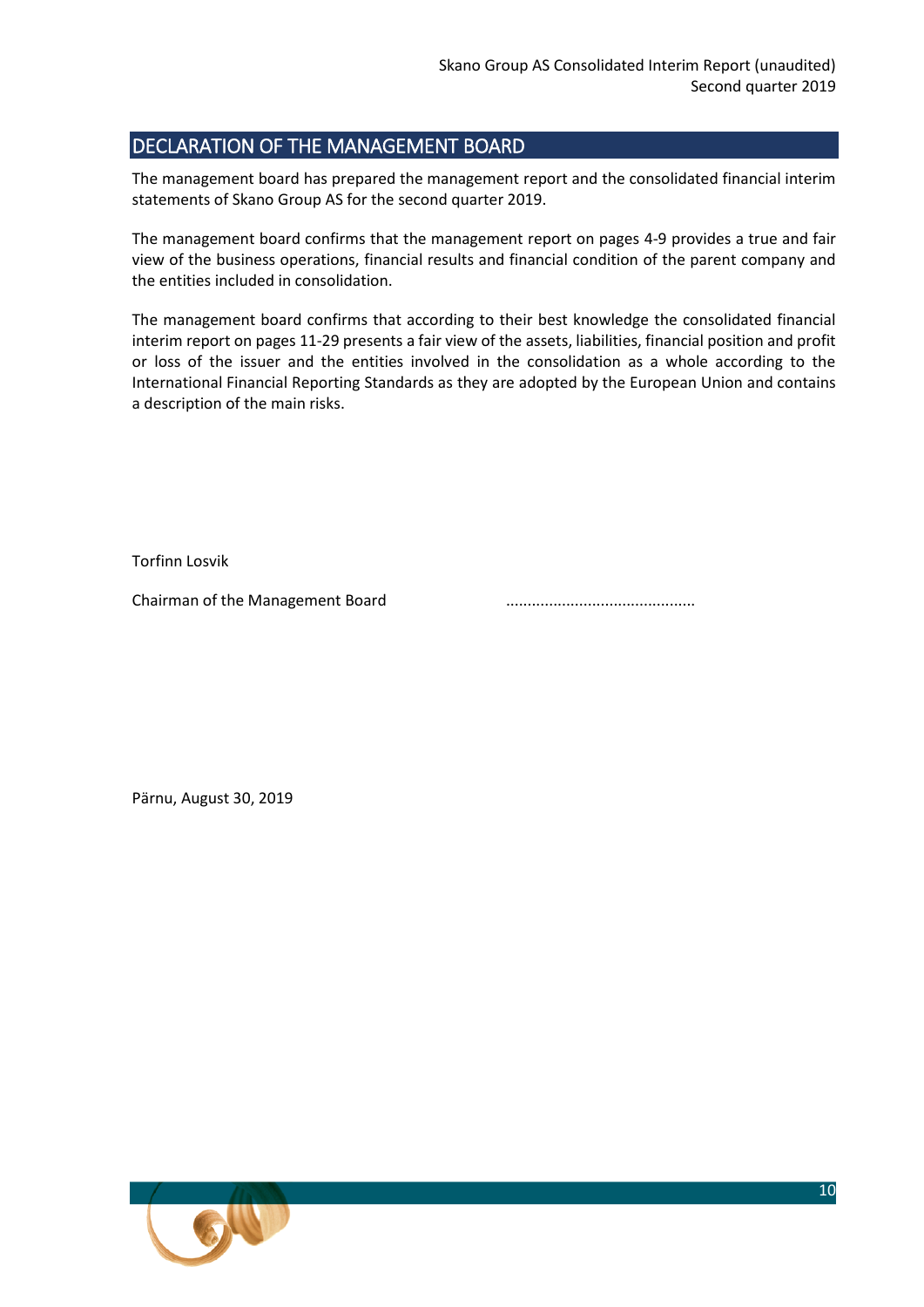## <span id="page-9-0"></span>DECLARATION OF THE MANAGEMENT BOARD

The management board has prepared the management report and the consolidated financial interim statements of Skano Group AS for the second quarter 2019.

The management board confirms that the management report on pages 4-9 provides a true and fair view of the business operations, financial results and financial condition of the parent company and the entities included in consolidation.

The management board confirms that according to their best knowledge the consolidated financial interim report on pages 11-29 presents a fair view of the assets, liabilities, financial position and profit or loss of the issuer and the entities involved in the consolidation as a whole according to the International Financial Reporting Standards as they are adopted by the European Union and contains a description of the main risks.

Torfinn Losvik

Chairman of the Management Board ............................................

Pärnu, August 30, 2019

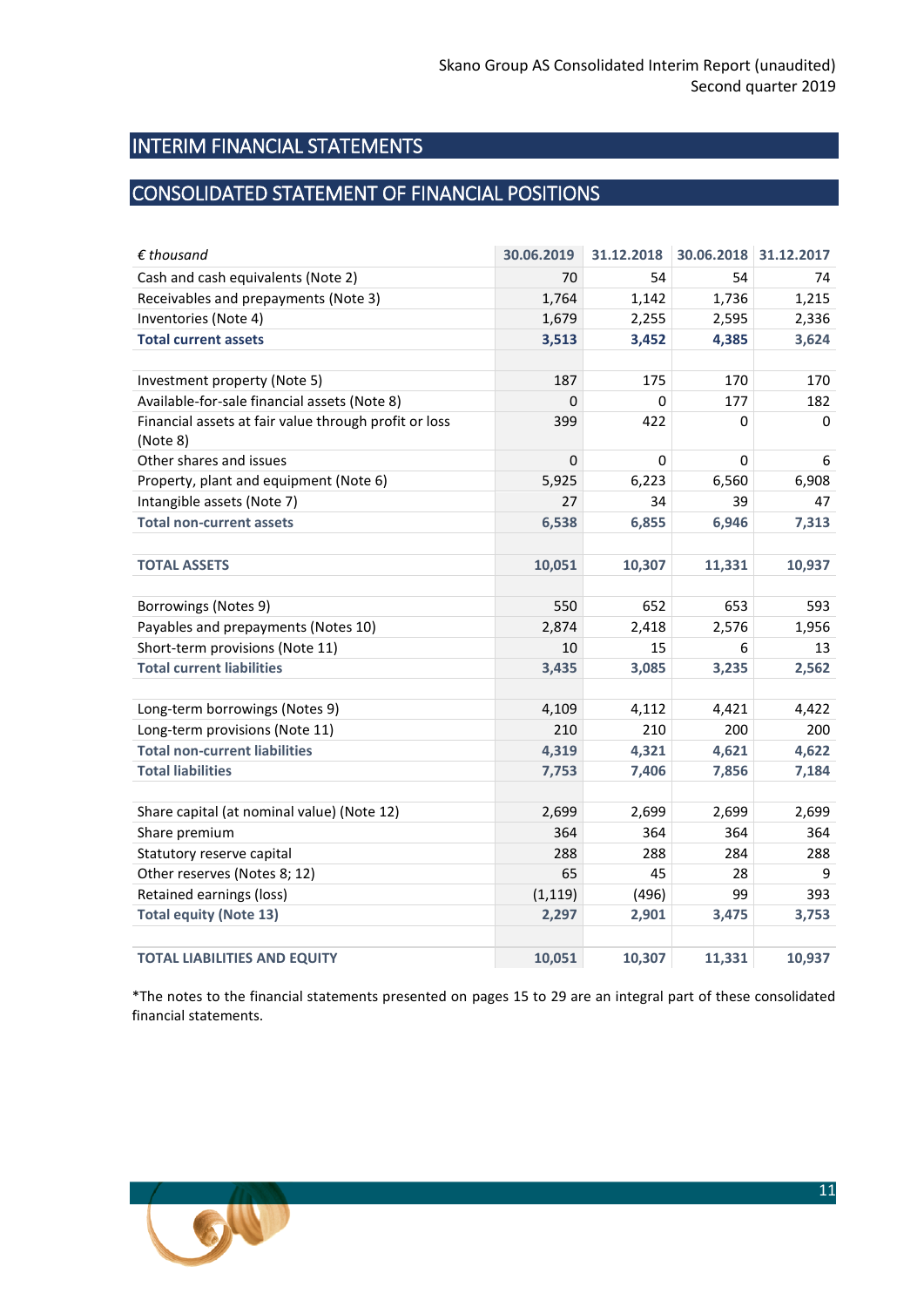## <span id="page-10-0"></span>INTERIM FINANCIAL STATEMENTS

## <span id="page-10-1"></span>CONSOLIDATED STATEMENT OF FINANCIAL POSITIONS

| $\epsilon$ thousand                                               | 30.06.2019  | 31.12.2018 | 30.06.2018 | 31.12.2017 |
|-------------------------------------------------------------------|-------------|------------|------------|------------|
| Cash and cash equivalents (Note 2)                                | 70          | 54         | 54         | 74         |
| Receivables and prepayments (Note 3)                              | 1,764       | 1,142      | 1,736      | 1,215      |
| Inventories (Note 4)                                              | 1,679       | 2,255      | 2,595      | 2,336      |
| <b>Total current assets</b>                                       | 3,513       | 3,452      | 4,385      | 3,624      |
|                                                                   |             |            |            |            |
| Investment property (Note 5)                                      | 187         | 175        | 170        | 170        |
| Available-for-sale financial assets (Note 8)                      | $\Omega$    | 0          | 177        | 182        |
| Financial assets at fair value through profit or loss<br>(Note 8) | 399         | 422        | 0          | 0          |
| Other shares and issues                                           | $\mathbf 0$ | 0          | 0          | 6          |
| Property, plant and equipment (Note 6)                            | 5,925       | 6,223      | 6,560      | 6,908      |
| Intangible assets (Note 7)                                        | 27          | 34         | 39         | 47         |
| <b>Total non-current assets</b>                                   | 6,538       | 6,855      | 6,946      | 7,313      |
|                                                                   |             |            |            |            |
| <b>TOTAL ASSETS</b>                                               | 10,051      | 10,307     | 11,331     | 10,937     |
|                                                                   |             |            |            |            |
| Borrowings (Notes 9)                                              | 550         | 652        | 653        | 593        |
| Payables and prepayments (Notes 10)                               | 2,874       | 2,418      | 2,576      | 1,956      |
| Short-term provisions (Note 11)                                   | 10          | 15         | 6          | 13         |
| <b>Total current liabilities</b>                                  | 3,435       | 3,085      | 3,235      | 2,562      |
|                                                                   |             |            |            |            |
| Long-term borrowings (Notes 9)                                    | 4,109       | 4,112      | 4,421      | 4,422      |
| Long-term provisions (Note 11)                                    | 210         | 210        | 200        | 200        |
| <b>Total non-current liabilities</b>                              | 4,319       | 4,321      | 4,621      | 4,622      |
| <b>Total liabilities</b>                                          | 7,753       | 7,406      | 7,856      | 7,184      |
|                                                                   |             |            |            |            |
| Share capital (at nominal value) (Note 12)                        | 2,699       | 2,699      | 2,699      | 2,699      |
| Share premium                                                     | 364         | 364        | 364        | 364        |
| Statutory reserve capital                                         | 288         | 288        | 284        | 288        |
| Other reserves (Notes 8; 12)                                      | 65          | 45         | 28         | 9          |
| Retained earnings (loss)                                          | (1, 119)    | (496)      | 99         | 393        |
| <b>Total equity (Note 13)</b>                                     | 2,297       | 2,901      | 3,475      | 3,753      |
|                                                                   |             |            |            |            |
| <b>TOTAL LIABILITIES AND EQUITY</b>                               | 10,051      | 10,307     | 11,331     | 10,937     |

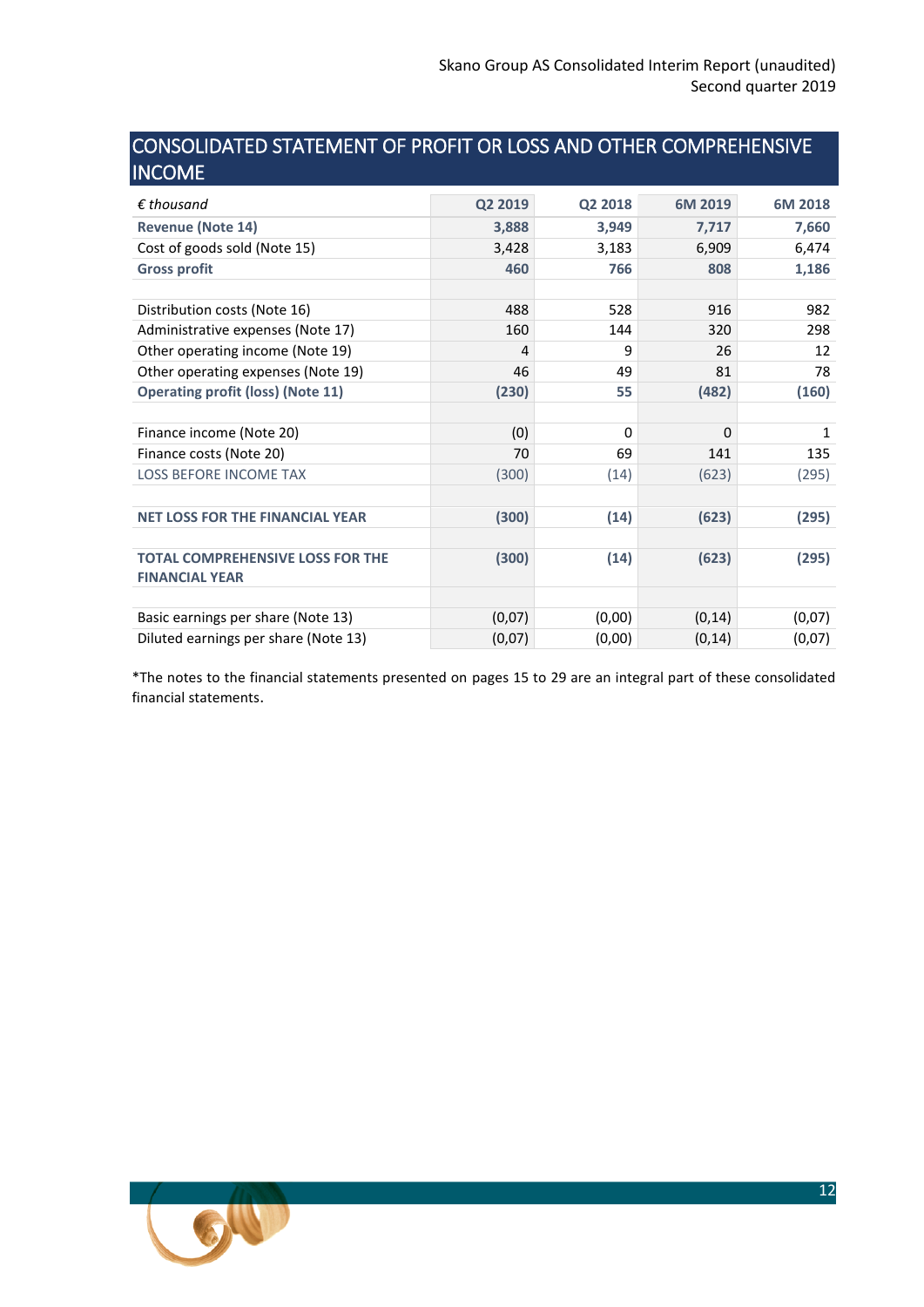## <span id="page-11-0"></span>CONSOLIDATED STATEMENT OF PROFIT OR LOSS AND OTHER COMPREHENSIVE **INCOME**

| $\epsilon$ thousand                      | Q2 2019 | Q2 2018 | 6M 2019 | 6M 2018 |
|------------------------------------------|---------|---------|---------|---------|
| <b>Revenue (Note 14)</b>                 | 3,888   | 3,949   | 7,717   | 7,660   |
| Cost of goods sold (Note 15)             | 3,428   | 3,183   | 6,909   | 6,474   |
| <b>Gross profit</b>                      | 460     | 766     | 808     | 1,186   |
|                                          |         |         |         |         |
| Distribution costs (Note 16)             | 488     | 528     | 916     | 982     |
| Administrative expenses (Note 17)        | 160     | 144     | 320     | 298     |
| Other operating income (Note 19)         | 4       | 9       | 26      | 12      |
| Other operating expenses (Note 19)       | 46      | 49      | 81      | 78      |
| <b>Operating profit (loss) (Note 11)</b> | (230)   | 55      | (482)   | (160)   |
|                                          |         |         |         |         |
| Finance income (Note 20)                 | (0)     | 0       | 0       | 1       |
| Finance costs (Note 20)                  | 70      | 69      | 141     | 135     |
| <b>LOSS BEFORE INCOME TAX</b>            | (300)   | (14)    | (623)   | (295)   |
|                                          |         |         |         |         |
| <b>NET LOSS FOR THE FINANCIAL YEAR</b>   | (300)   | (14)    | (623)   | (295)   |
|                                          |         |         |         |         |
| <b>TOTAL COMPREHENSIVE LOSS FOR THE</b>  | (300)   | (14)    | (623)   | (295)   |
| <b>FINANCIAL YEAR</b>                    |         |         |         |         |
|                                          |         |         |         |         |
| Basic earnings per share (Note 13)       | (0,07)  | (0,00)  | (0, 14) | (0,07)  |
| Diluted earnings per share (Note 13)     | (0,07)  | (0,00)  | (0, 14) | (0,07)  |

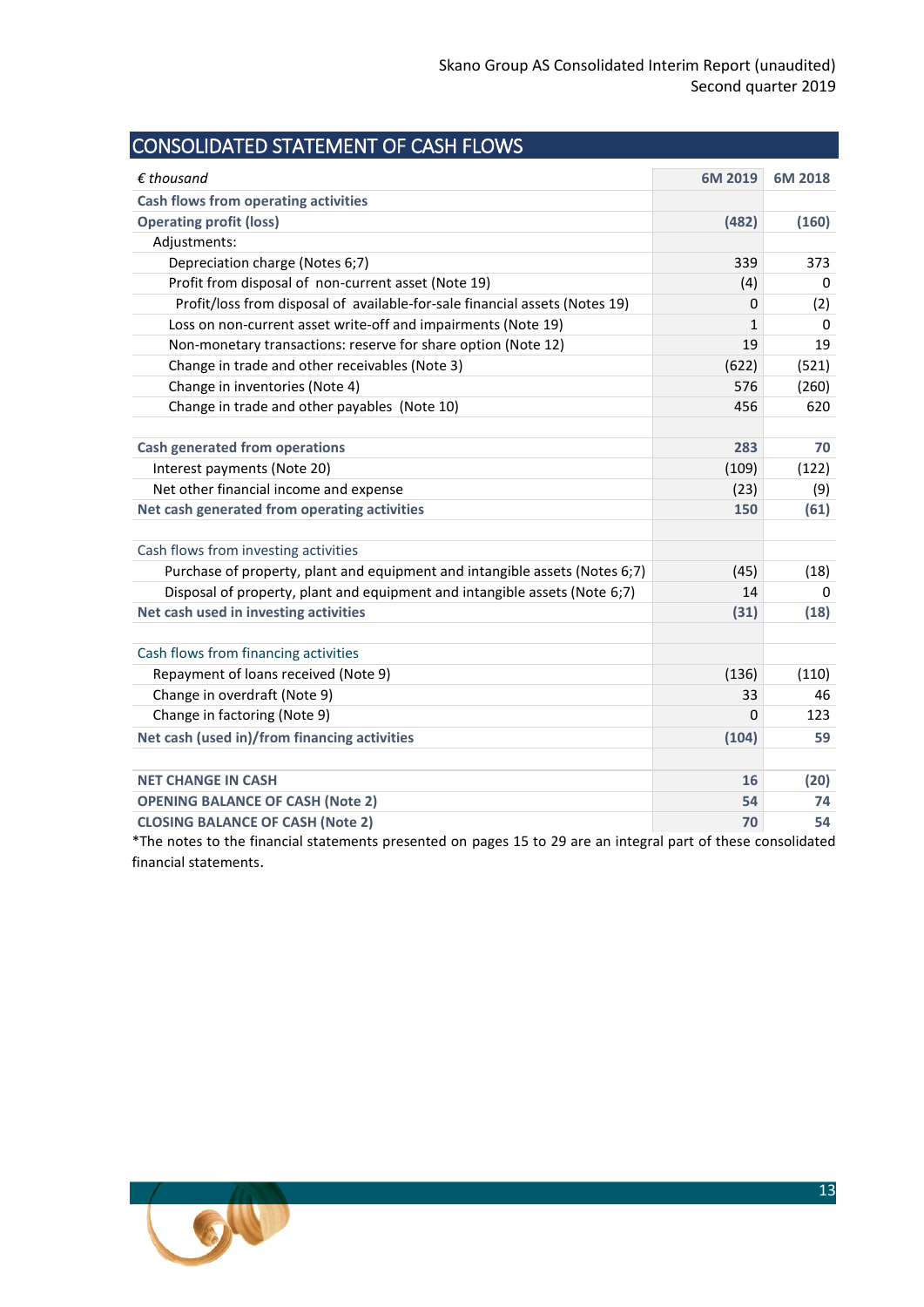<span id="page-12-0"></span>

| $\epsilon$ thousand                                                         | 6M 2019 | 6M 2018 |
|-----------------------------------------------------------------------------|---------|---------|
| <b>Cash flows from operating activities</b>                                 |         |         |
| <b>Operating profit (loss)</b>                                              | (482)   | (160)   |
| Adjustments:                                                                |         |         |
| Depreciation charge (Notes 6;7)                                             | 339     | 373     |
| Profit from disposal of non-current asset (Note 19)                         | (4)     | 0       |
| Profit/loss from disposal of available-for-sale financial assets (Notes 19) | 0       | (2)     |
| Loss on non-current asset write-off and impairments (Note 19)               | 1       | 0       |
| Non-monetary transactions: reserve for share option (Note 12)               | 19      | 19      |
| Change in trade and other receivables (Note 3)                              | (622)   | (521)   |
| Change in inventories (Note 4)                                              | 576     | (260)   |
| Change in trade and other payables (Note 10)                                | 456     | 620     |
| <b>Cash generated from operations</b>                                       | 283     | 70      |
| Interest payments (Note 20)                                                 | (109)   | (122)   |
| Net other financial income and expense                                      | (23)    | (9)     |
| Net cash generated from operating activities                                | 150     | (61)    |
| Cash flows from investing activities                                        |         |         |
| Purchase of property, plant and equipment and intangible assets (Notes 6;7) | (45)    | (18)    |
| Disposal of property, plant and equipment and intangible assets (Note 6;7)  | 14      | 0       |
| Net cash used in investing activities                                       | (31)    | (18)    |
| Cash flows from financing activities                                        |         |         |
| Repayment of loans received (Note 9)                                        | (136)   | (110)   |
| Change in overdraft (Note 9)                                                | 33      | 46      |
| Change in factoring (Note 9)                                                | 0       | 123     |
| Net cash (used in)/from financing activities                                | (104)   | 59      |
| <b>NET CHANGE IN CASH</b>                                                   | 16      | (20)    |
| <b>OPENING BALANCE OF CASH (Note 2)</b>                                     | 54      | 74      |
| <b>CLOSING BALANCE OF CASH (Note 2)</b>                                     | 70      | 54      |

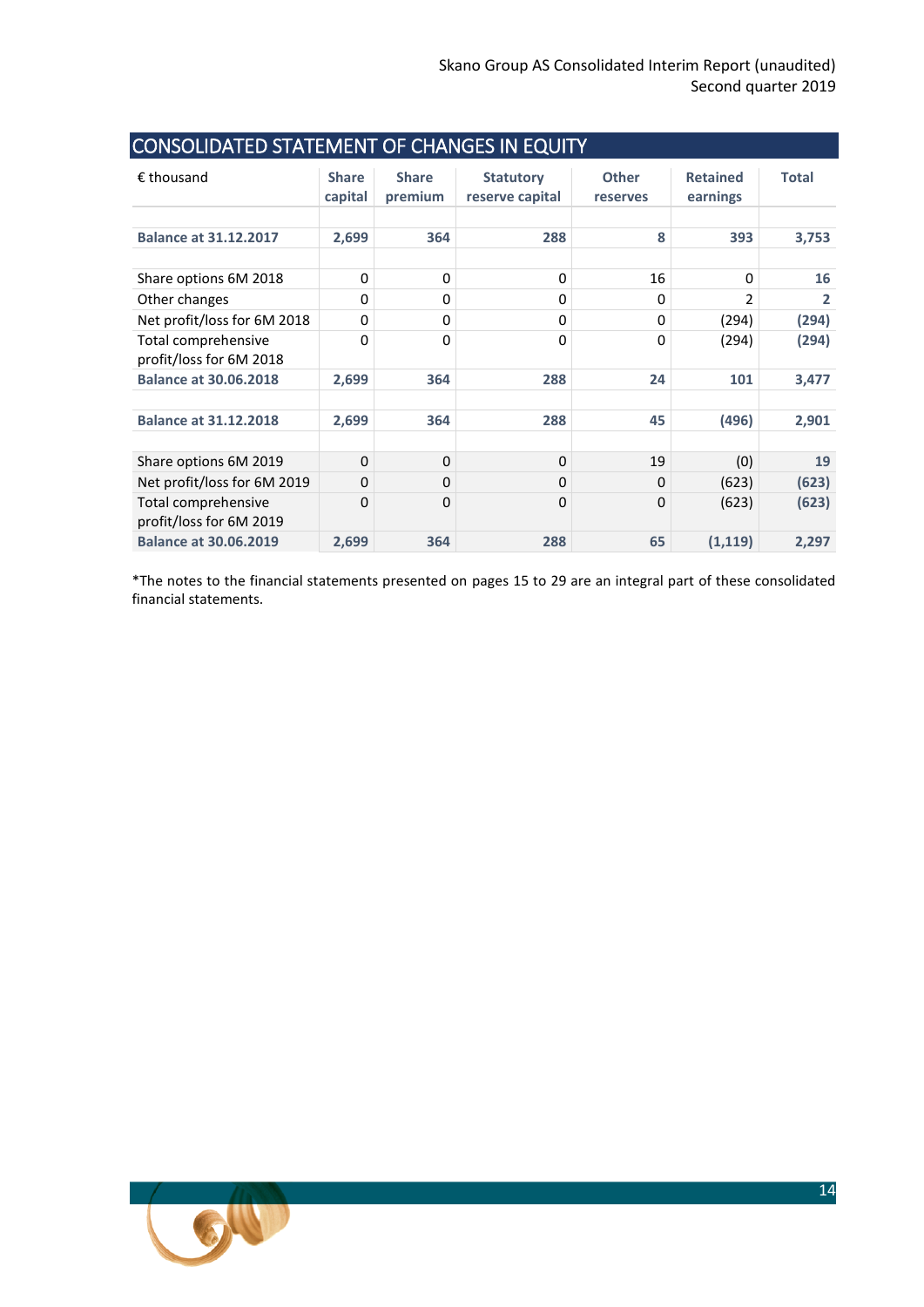<span id="page-13-0"></span>

| CONSOLIDATED STATEMENT OF CHANGES IN EQUITY    |                         |                         |                                     |                          |                             |              |
|------------------------------------------------|-------------------------|-------------------------|-------------------------------------|--------------------------|-----------------------------|--------------|
| $\epsilon$ thousand                            | <b>Share</b><br>capital | <b>Share</b><br>premium | <b>Statutory</b><br>reserve capital | <b>Other</b><br>reserves | <b>Retained</b><br>earnings | <b>Total</b> |
| <b>Balance at 31.12.2017</b>                   | 2,699                   | 364                     | 288                                 | 8                        | 393                         | 3,753        |
| Share options 6M 2018                          | 0                       | $\Omega$                | 0                                   | 16                       | 0                           | 16           |
| Other changes                                  | 0                       | 0                       | 0                                   | 0                        | $\mathfrak z$               | 2            |
| Net profit/loss for 6M 2018                    | 0                       | 0                       | 0                                   | 0                        | (294)                       | (294)        |
| Total comprehensive<br>profit/loss for 6M 2018 | 0                       | 0                       | 0                                   | 0                        | (294)                       | (294)        |
| <b>Balance at 30.06.2018</b>                   | 2,699                   | 364                     | 288                                 | 24                       | 101                         | 3,477        |
| <b>Balance at 31.12.2018</b>                   | 2,699                   | 364                     | 288                                 | 45                       | (496)                       | 2,901        |
| Share options 6M 2019                          | $\Omega$                | $\Omega$                | $\Omega$                            | 19                       | (0)                         | 19           |
| Net profit/loss for 6M 2019                    | $\Omega$                | 0                       | $\Omega$                            | $\Omega$                 | (623)                       | (623)        |
| Total comprehensive<br>profit/loss for 6M 2019 | 0                       | 0                       | $\Omega$                            | 0                        | (623)                       | (623)        |
| <b>Balance at 30.06.2019</b>                   | 2,699                   | 364                     | 288                                 | 65                       | (1, 119)                    | 2,297        |

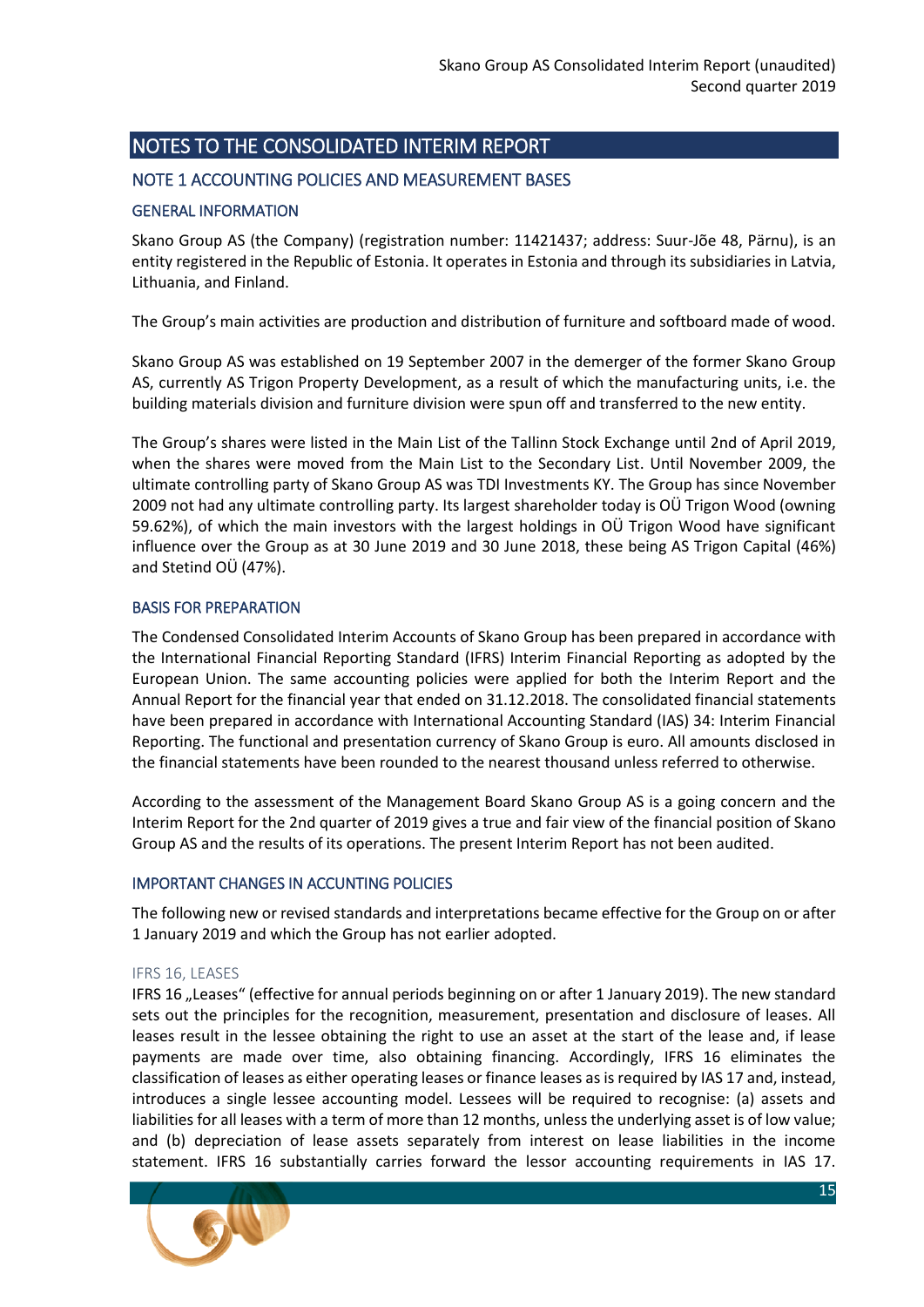## <span id="page-14-0"></span>NOTES TO THE CONSOLIDATED INTERIM REPORT

## <span id="page-14-1"></span>NOTE 1 ACCOUNTING POLICIES AND MEASUREMENT BASES

#### GENERAL INFORMATION

Skano Group AS (the Company) (registration number: 11421437; address: Suur-Jõe 48, Pärnu), is an entity registered in the Republic of Estonia. It operates in Estonia and through its subsidiaries in Latvia, Lithuania, and Finland.

The Group's main activities are production and distribution of furniture and softboard made of wood.

Skano Group AS was established on 19 September 2007 in the demerger of the former Skano Group AS, currently AS Trigon Property Development, as a result of which the manufacturing units, i.e. the building materials division and furniture division were spun off and transferred to the new entity.

The Group's shares were listed in the Main List of the Tallinn Stock Exchange until 2nd of April 2019, when the shares were moved from the Main List to the Secondary List. Until November 2009, the ultimate controlling party of Skano Group AS was TDI Investments KY. The Group has since November 2009 not had any ultimate controlling party. Its largest shareholder today is OÜ Trigon Wood (owning 59.62%), of which the main investors with the largest holdings in OÜ Trigon Wood have significant influence over the Group as at 30 June 2019 and 30 June 2018, these being AS Trigon Capital (46%) and Stetind OÜ (47%).

#### BASIS FOR PREPARATION

The Condensed Consolidated Interim Accounts of Skano Group has been prepared in accordance with the International Financial Reporting Standard (IFRS) Interim Financial Reporting as adopted by the European Union. The same accounting policies were applied for both the Interim Report and the Annual Report for the financial year that ended on 31.12.2018. The consolidated financial statements have been prepared in accordance with International Accounting Standard (IAS) 34: Interim Financial Reporting. The functional and presentation currency of Skano Group is euro. All amounts disclosed in the financial statements have been rounded to the nearest thousand unless referred to otherwise.

According to the assessment of the Management Board Skano Group AS is a going concern and the Interim Report for the 2nd quarter of 2019 gives a true and fair view of the financial position of Skano Group AS and the results of its operations. The present Interim Report has not been audited.

#### IMPORTANT CHANGES IN ACCUNTING POLICIES

The following new or revised standards and interpretations became effective for the Group on or after 1 January 2019 and which the Group has not earlier adopted.

#### IFRS 16, LEASES

IFRS 16 "Leases" (effective for annual periods beginning on or after 1 January 2019). The new standard sets out the principles for the recognition, measurement, presentation and disclosure of leases. All leases result in the lessee obtaining the right to use an asset at the start of the lease and, if lease payments are made over time, also obtaining financing. Accordingly, IFRS 16 eliminates the classification of leases as either operating leases or finance leases as is required by IAS 17 and, instead, introduces a single lessee accounting model. Lessees will be required to recognise: (a) assets and liabilities for all leases with a term of more than 12 months, unless the underlying asset is of low value; and (b) depreciation of lease assets separately from interest on lease liabilities in the income statement. IFRS 16 substantially carries forward the lessor accounting requirements in IAS 17.

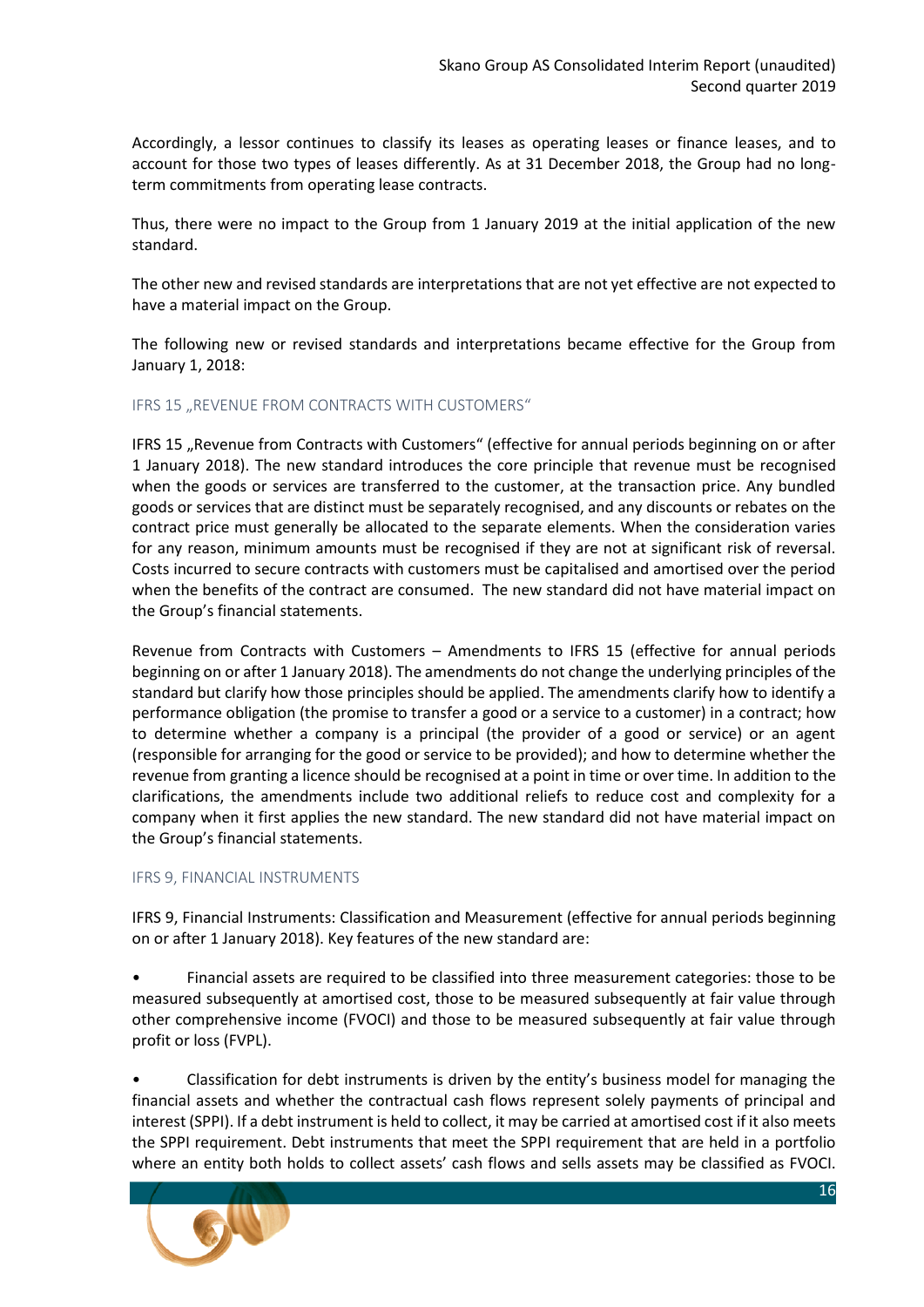Accordingly, a lessor continues to classify its leases as operating leases or finance leases, and to account for those two types of leases differently. As at 31 December 2018, the Group had no longterm commitments from operating lease contracts.

Thus, there were no impact to the Group from 1 January 2019 at the initial application of the new standard.

The other new and revised standards are interpretations that are not yet effective are not expected to have a material impact on the Group.

The following new or revised standards and interpretations became effective for the Group from January 1, 2018:

#### IFRS 15 "REVENUE FROM CONTRACTS WITH CUSTOMERS"

IFRS 15 "Revenue from Contracts with Customers" (effective for annual periods beginning on or after 1 January 2018). The new standard introduces the core principle that revenue must be recognised when the goods or services are transferred to the customer, at the transaction price. Any bundled goods or services that are distinct must be separately recognised, and any discounts or rebates on the contract price must generally be allocated to the separate elements. When the consideration varies for any reason, minimum amounts must be recognised if they are not at significant risk of reversal. Costs incurred to secure contracts with customers must be capitalised and amortised over the period when the benefits of the contract are consumed. The new standard did not have material impact on the Group's financial statements.

Revenue from Contracts with Customers – Amendments to IFRS 15 (effective for annual periods beginning on or after 1 January 2018). The amendments do not change the underlying principles of the standard but clarify how those principles should be applied. The amendments clarify how to identify a performance obligation (the promise to transfer a good or a service to a customer) in a contract; how to determine whether a company is a principal (the provider of a good or service) or an agent (responsible for arranging for the good or service to be provided); and how to determine whether the revenue from granting a licence should be recognised at a point in time or over time. In addition to the clarifications, the amendments include two additional reliefs to reduce cost and complexity for a company when it first applies the new standard. The new standard did not have material impact on the Group's financial statements.

#### IFRS 9, FINANCIAL INSTRUMENTS

IFRS 9, Financial Instruments: Classification and Measurement (effective for annual periods beginning on or after 1 January 2018). Key features of the new standard are:

• Financial assets are required to be classified into three measurement categories: those to be measured subsequently at amortised cost, those to be measured subsequently at fair value through other comprehensive income (FVOCI) and those to be measured subsequently at fair value through profit or loss (FVPL).

• Classification for debt instruments is driven by the entity's business model for managing the financial assets and whether the contractual cash flows represent solely payments of principal and interest (SPPI). If a debt instrument is held to collect, it may be carried at amortised cost if it also meets the SPPI requirement. Debt instruments that meet the SPPI requirement that are held in a portfolio where an entity both holds to collect assets' cash flows and sells assets may be classified as FVOCI.

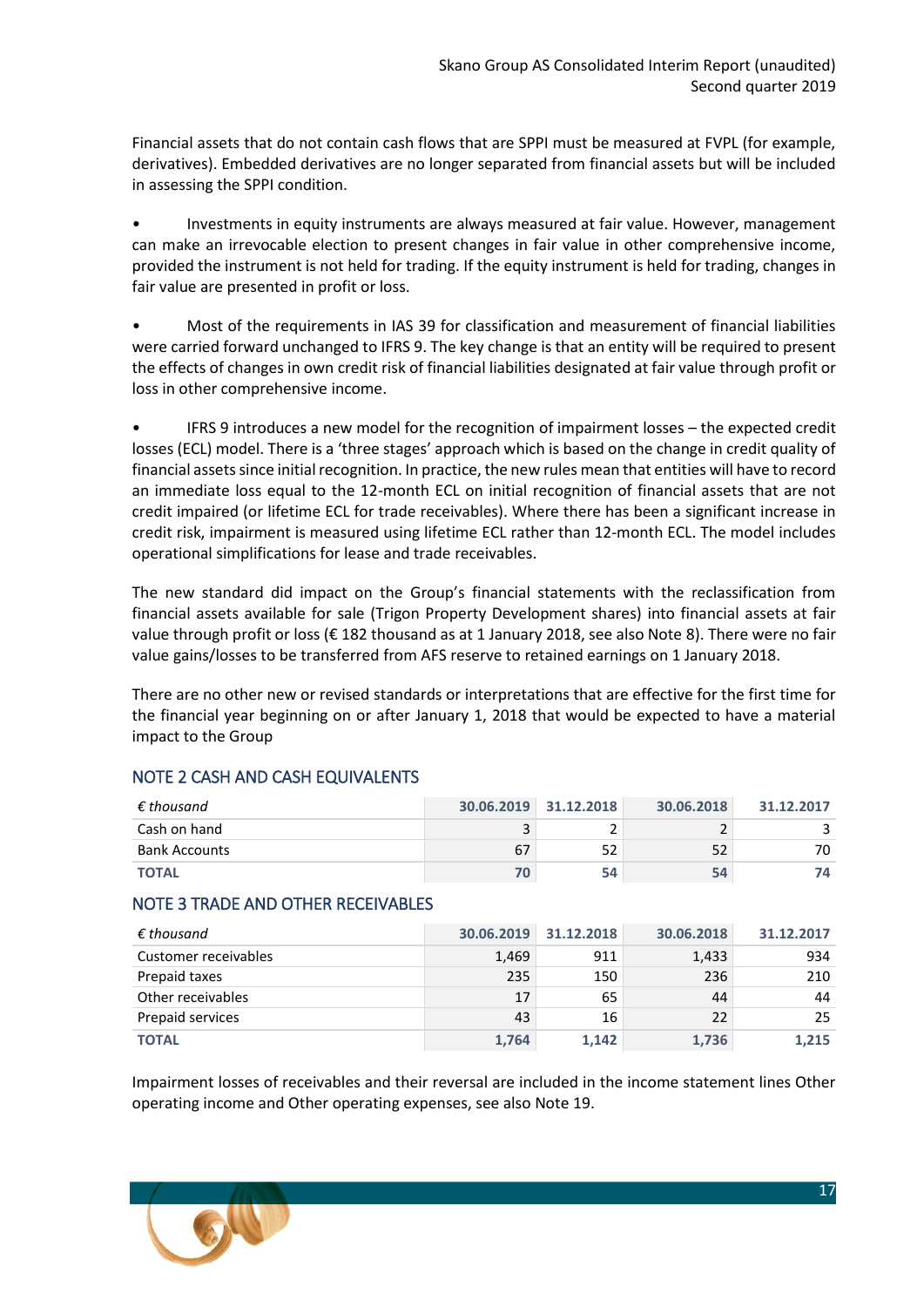Financial assets that do not contain cash flows that are SPPI must be measured at FVPL (for example, derivatives). Embedded derivatives are no longer separated from financial assets but will be included in assessing the SPPI condition.

• Investments in equity instruments are always measured at fair value. However, management can make an irrevocable election to present changes in fair value in other comprehensive income, provided the instrument is not held for trading. If the equity instrument is held for trading, changes in fair value are presented in profit or loss.

• Most of the requirements in IAS 39 for classification and measurement of financial liabilities were carried forward unchanged to IFRS 9. The key change is that an entity will be required to present the effects of changes in own credit risk of financial liabilities designated at fair value through profit or loss in other comprehensive income.

• IFRS 9 introduces a new model for the recognition of impairment losses – the expected credit losses (ECL) model. There is a 'three stages' approach which is based on the change in credit quality of financial assets since initial recognition. In practice, the new rules mean that entities will have to record an immediate loss equal to the 12-month ECL on initial recognition of financial assets that are not credit impaired (or lifetime ECL for trade receivables). Where there has been a significant increase in credit risk, impairment is measured using lifetime ECL rather than 12-month ECL. The model includes operational simplifications for lease and trade receivables.

The new standard did impact on the Group's financial statements with the reclassification from financial assets available for sale (Trigon Property Development shares) into financial assets at fair value through profit or loss (€ 182 thousand as at 1 January 2018, see also Note 8). There were no fair value gains/losses to be transferred from AFS reserve to retained earnings on 1 January 2018.

There are no other new or revised standards or interpretations that are effective for the first time for the financial year beginning on or after January 1, 2018 that would be expected to have a material impact to the Group

## <span id="page-16-0"></span>NOTE 2 CASH AND CASH EQUIVALENTS

| $\epsilon$ thousand  |    | 30.06.2019 31.12.2018 | 30.06.2018 | 31.12.2017 |
|----------------------|----|-----------------------|------------|------------|
| Cash on hand         |    |                       |            |            |
| <b>Bank Accounts</b> | 67 | 52                    | 52         | 70         |
| <b>TOTAL</b>         |    | 54                    | 54         |            |

## <span id="page-16-1"></span>NOTE 3 TRADE AND OTHER RECEIVABLES

| $\epsilon$ thousand  | 30.06.2019 | 31.12.2018 | 30.06.2018 | 31.12.2017 |
|----------------------|------------|------------|------------|------------|
| Customer receivables | 1,469      | 911        | 1,433      | 934        |
| Prepaid taxes        | 235        | 150        | 236        | 210        |
| Other receivables    | 17         | 65         | 44         | 44         |
| Prepaid services     | 43         | 16         | 22         | 25         |
| <b>TOTAL</b>         | 1,764      | 1.142      | 1,736      | 1,215      |

Impairment losses of receivables and their reversal are included in the income statement lines Other operating income and Other operating expenses, see also Note 19.

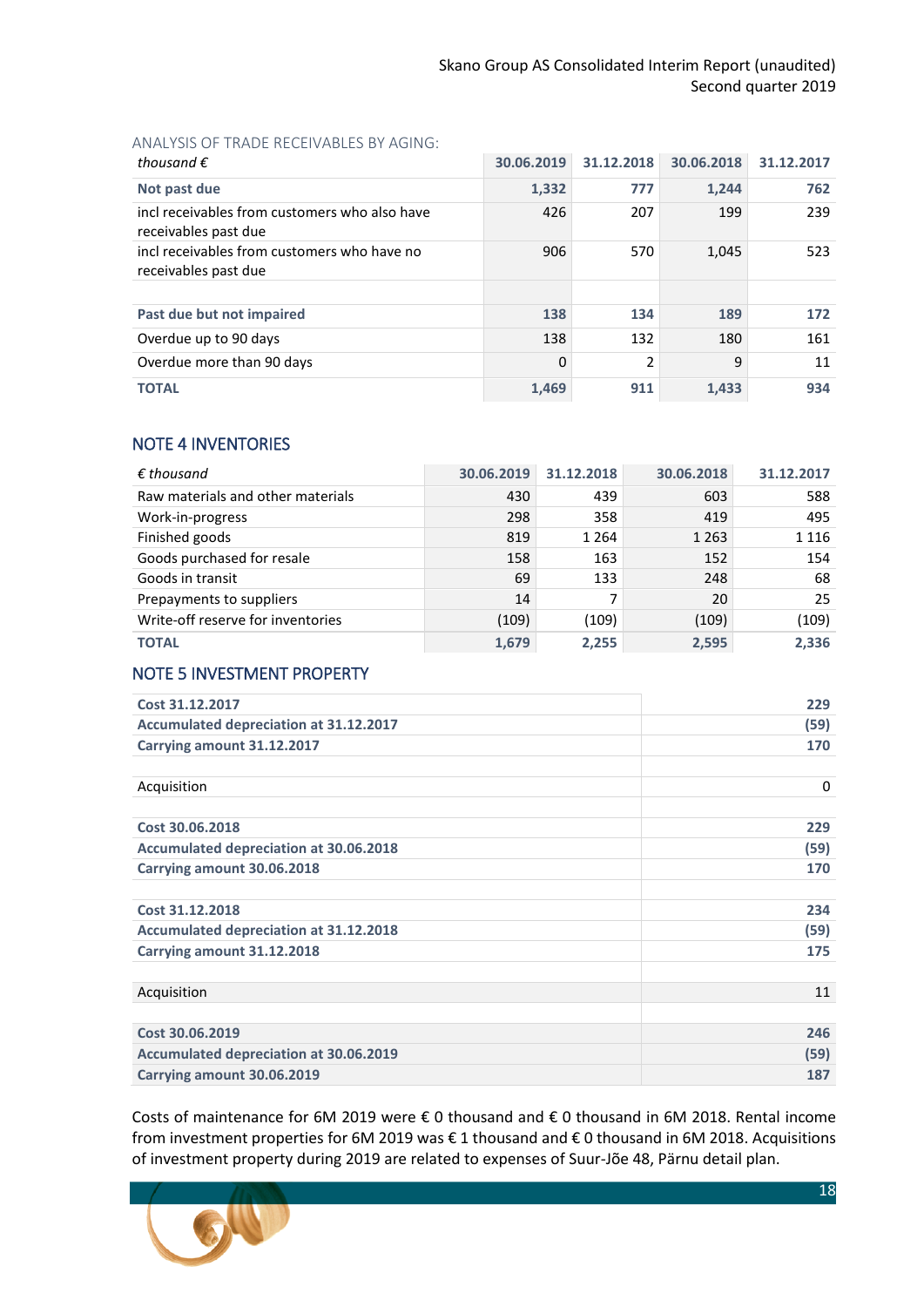#### ANALYSIS OF TRADE RECEIVABLES BY AGING:

| thousand $\epsilon$                                                   | 30.06.2019 | 31.12.2018 | 30.06.2018 | 31.12.2017 |
|-----------------------------------------------------------------------|------------|------------|------------|------------|
| Not past due                                                          | 1,332      | 777        | 1.244      | 762        |
| incl receivables from customers who also have<br>receivables past due | 426        | 207        | 199        | 239        |
| incl receivables from customers who have no<br>receivables past due   | 906        | 570        | 1,045      | 523        |
|                                                                       |            |            |            |            |
| Past due but not impaired                                             | 138        | 134        | 189        | 172        |
| Overdue up to 90 days                                                 | 138        | 132        | 180        | 161        |
| Overdue more than 90 days                                             | 0          | 2          | 9          | 11         |
| <b>TOTAL</b>                                                          | 1,469      | 911        | 1,433      | 934        |

## <span id="page-17-0"></span>NOTE 4 INVENTORIES

| $\epsilon$ thousand               | 30.06.2019 | 31.12.2018 | 30.06.2018 | 31.12.2017 |
|-----------------------------------|------------|------------|------------|------------|
| Raw materials and other materials | 430        | 439        | 603        | 588        |
| Work-in-progress                  | 298        | 358        | 419        | 495        |
| Finished goods                    | 819        | 1 2 6 4    | 1 2 6 3    | 1 1 1 6    |
| Goods purchased for resale        | 158        | 163        | 152        | 154        |
| Goods in transit                  | 69         | 133        | 248        | 68         |
| Prepayments to suppliers          | 14         |            | 20         | 25         |
| Write-off reserve for inventories | (109)      | (109)      | (109)      | (109)      |
| <b>TOTAL</b>                      | 1,679      | 2.255      | 2,595      | 2,336      |

## <span id="page-17-1"></span>NOTE 5 INVESTMENT PROPERTY

| Cost 31.12.2017                               | 229  |
|-----------------------------------------------|------|
| Accumulated depreciation at 31.12.2017        | (59) |
| Carrying amount 31.12.2017                    | 170  |
|                                               |      |
| Acquisition                                   | 0    |
|                                               |      |
| Cost 30.06.2018                               | 229  |
| <b>Accumulated depreciation at 30.06.2018</b> | (59) |
| Carrying amount 30.06.2018                    | 170  |
|                                               |      |
| Cost 31.12.2018                               | 234  |
| <b>Accumulated depreciation at 31.12.2018</b> | (59) |
| Carrying amount 31.12.2018                    | 175  |
|                                               |      |
| Acquisition                                   | 11   |
|                                               |      |
| Cost 30.06.2019                               | 246  |
| <b>Accumulated depreciation at 30.06.2019</b> | (59) |
| Carrying amount 30.06.2019                    | 187  |

Costs of maintenance for 6M 2019 were € 0 thousand and € 0 thousand in 6M 2018. Rental income from investment properties for 6M 2019 was € 1 thousand and € 0 thousand in 6M 2018. Acquisitions of investment property during 2019 are related to expenses of Suur-Jõe 48, Pärnu detail plan.

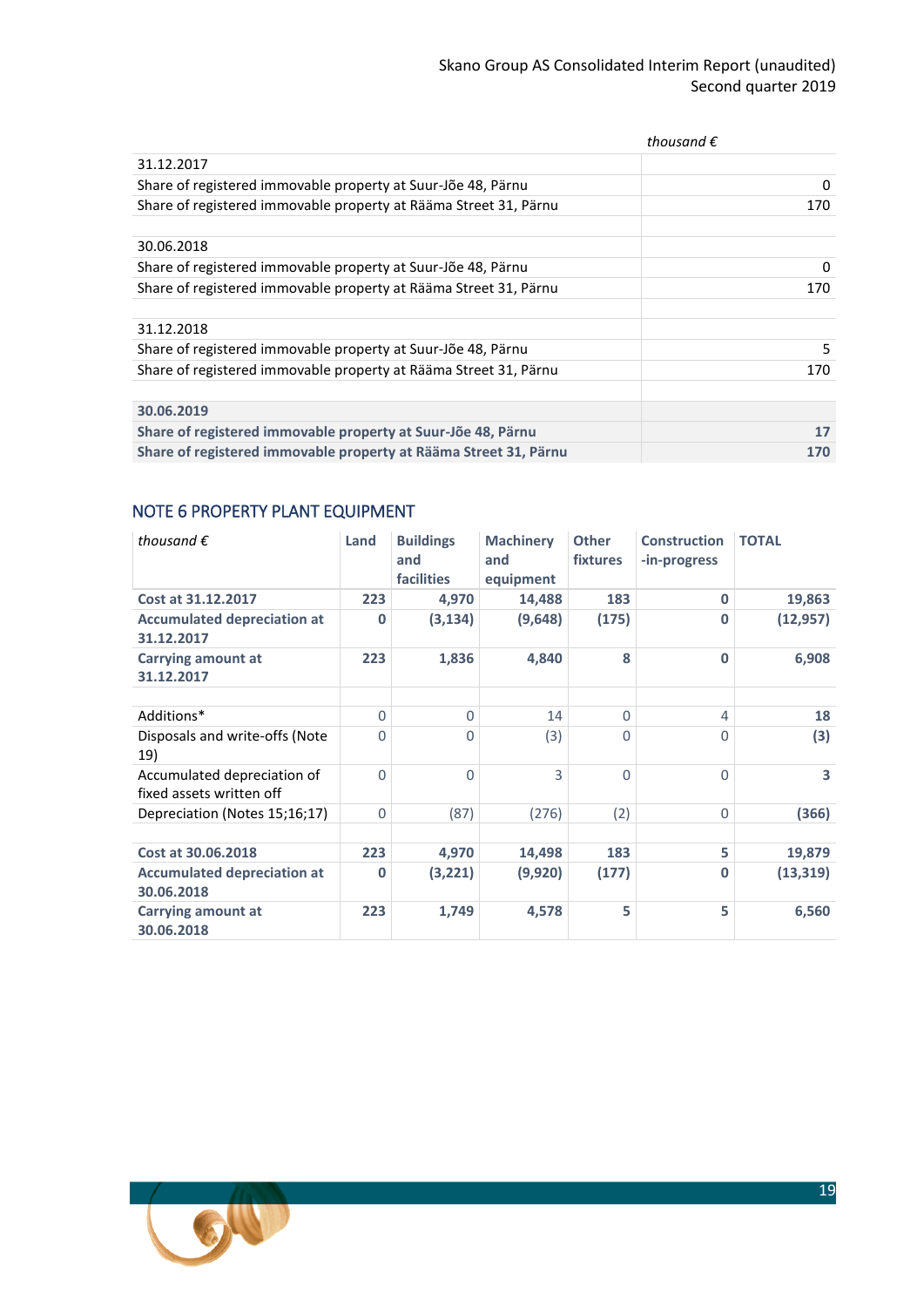|                                                                  | thousand $\epsilon$ |
|------------------------------------------------------------------|---------------------|
| 31.12.2017                                                       |                     |
| Share of registered immovable property at Suur-Jõe 48, Pärnu     | 0                   |
| Share of registered immovable property at Rääma Street 31, Pärnu | 170                 |
|                                                                  |                     |
| 30.06.2018                                                       |                     |
| Share of registered immovable property at Suur-Jõe 48, Pärnu     | 0                   |
| Share of registered immovable property at Rääma Street 31, Pärnu | 170                 |
|                                                                  |                     |
| 31.12.2018                                                       |                     |
| Share of registered immovable property at Suur-Jõe 48, Pärnu     | 5                   |
| Share of registered immovable property at Rääma Street 31, Pärnu | 170                 |
|                                                                  |                     |
| 30.06.2019                                                       |                     |
| Share of registered immovable property at Suur-Jõe 48, Pärnu     | 17                  |
| Share of registered immovable property at Rääma Street 31, Pärnu | 170                 |

## <span id="page-18-0"></span>NOTE 6 PROPERTY PLANT EQUIPMENT

| thousand $\epsilon$                                     | Land           | <b>Buildings</b><br>and<br><b>facilities</b> | <b>Machinery</b><br>and<br>equipment | <b>Other</b><br><b>fixtures</b> | <b>Construction</b><br>-in-progress | <b>TOTAL</b>            |
|---------------------------------------------------------|----------------|----------------------------------------------|--------------------------------------|---------------------------------|-------------------------------------|-------------------------|
| Cost at 31.12.2017                                      | 223            | 4,970                                        | 14,488                               | 183                             | $\mathbf{0}$                        | 19,863                  |
| <b>Accumulated depreciation at</b><br>31.12.2017        | $\bf{0}$       | (3, 134)                                     | (9,648)                              | (175)                           | $\mathbf{0}$                        | (12, 957)               |
| <b>Carrying amount at</b><br>31.12.2017                 | 223            | 1,836                                        | 4,840                                | 8                               | $\mathbf{0}$                        | 6,908                   |
|                                                         |                |                                              |                                      |                                 |                                     |                         |
| Additions*                                              | $\mathbf 0$    | $\Omega$                                     | 14                                   | $\Omega$                        | 4                                   | 18                      |
| Disposals and write-offs (Note<br>19)                   | 0              | $\Omega$                                     | (3)                                  | 0                               | $\Omega$                            | (3)                     |
| Accumulated depreciation of<br>fixed assets written off | $\overline{0}$ | $\Omega$                                     | 3                                    | $\Omega$                        | $\Omega$                            | $\overline{\mathbf{3}}$ |
| Depreciation (Notes 15;16;17)                           | $\mathbf 0$    | (87)                                         | (276)                                | (2)                             | 0                                   | (366)                   |
|                                                         |                |                                              |                                      |                                 |                                     |                         |
| Cost at 30.06.2018                                      | 223            | 4,970                                        | 14,498                               | 183                             | 5                                   | 19,879                  |
| <b>Accumulated depreciation at</b><br>30.06.2018        | $\mathbf{0}$   | (3,221)                                      | (9,920)                              | (177)                           | $\bf{0}$                            | (13, 319)               |
| <b>Carrying amount at</b><br>30.06.2018                 | 223            | 1,749                                        | 4,578                                | 5                               | 5                                   | 6,560                   |

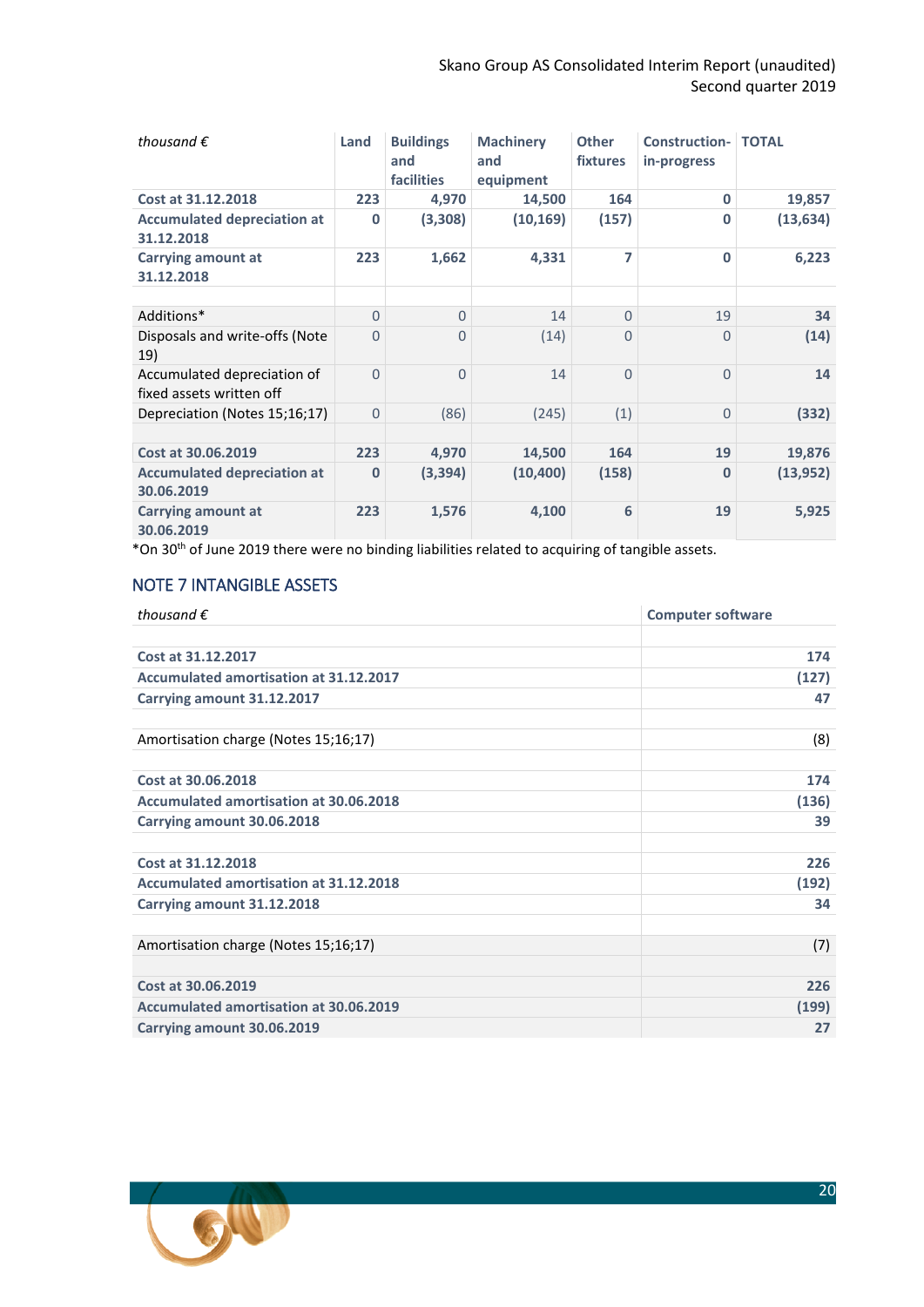| thousand $\epsilon$                                     | Land         | <b>Buildings</b><br>and<br><b>facilities</b> | <b>Machinery</b><br>and<br>equipment | <b>Other</b><br><b>fixtures</b> | <b>Construction- TOTAL</b><br>in-progress |           |
|---------------------------------------------------------|--------------|----------------------------------------------|--------------------------------------|---------------------------------|-------------------------------------------|-----------|
| Cost at 31.12.2018                                      | 223          | 4,970                                        | 14,500                               | 164                             | $\Omega$                                  | 19,857    |
| <b>Accumulated depreciation at</b><br>31.12.2018        | 0            | (3,308)                                      | (10, 169)                            | (157)                           | $\bf{0}$                                  | (13, 634) |
| <b>Carrying amount at</b><br>31.12.2018                 | 223          | 1,662                                        | 4,331                                | 7                               | $\bf{0}$                                  | 6,223     |
|                                                         |              |                                              |                                      |                                 |                                           |           |
| Additions*                                              | $\Omega$     | $\Omega$                                     | 14                                   | $\Omega$                        | 19                                        | 34        |
| Disposals and write-offs (Note<br>19)                   | $\Omega$     | 0                                            | (14)                                 | 0                               | 0                                         | (14)      |
| Accumulated depreciation of<br>fixed assets written off | $\Omega$     | $\Omega$                                     | 14                                   | $\Omega$                        | $\Omega$                                  | 14        |
| Depreciation (Notes 15;16;17)                           | $\Omega$     | (86)                                         | (245)                                | (1)                             | $\Omega$                                  | (332)     |
|                                                         |              |                                              |                                      |                                 |                                           |           |
| Cost at 30.06.2019                                      | 223          | 4,970                                        | 14,500                               | 164                             | 19                                        | 19,876    |
| <b>Accumulated depreciation at</b><br>30.06.2019        | $\mathbf{0}$ | (3, 394)                                     | (10, 400)                            | (158)                           | 0                                         | (13, 952) |
| Carrying amount at<br>30.06.2019                        | 223          | 1,576                                        | 4,100                                | 6                               | 19                                        | 5,925     |

\*On 30 th of June 2019 there were no binding liabilities related to acquiring of tangible assets.

## <span id="page-19-0"></span>NOTE 7 INTANGIBLE ASSETS

| <b>Computer software</b> |  |  |  |
|--------------------------|--|--|--|
|                          |  |  |  |
| 174                      |  |  |  |
| (127)                    |  |  |  |
| 47                       |  |  |  |
|                          |  |  |  |
| (8)                      |  |  |  |
|                          |  |  |  |
| 174                      |  |  |  |
| (136)                    |  |  |  |
| 39                       |  |  |  |
|                          |  |  |  |
| 226                      |  |  |  |
| (192)                    |  |  |  |
| 34                       |  |  |  |
|                          |  |  |  |
| (7)                      |  |  |  |
|                          |  |  |  |
| 226                      |  |  |  |
| (199)                    |  |  |  |
| 27                       |  |  |  |
|                          |  |  |  |

<span id="page-19-1"></span>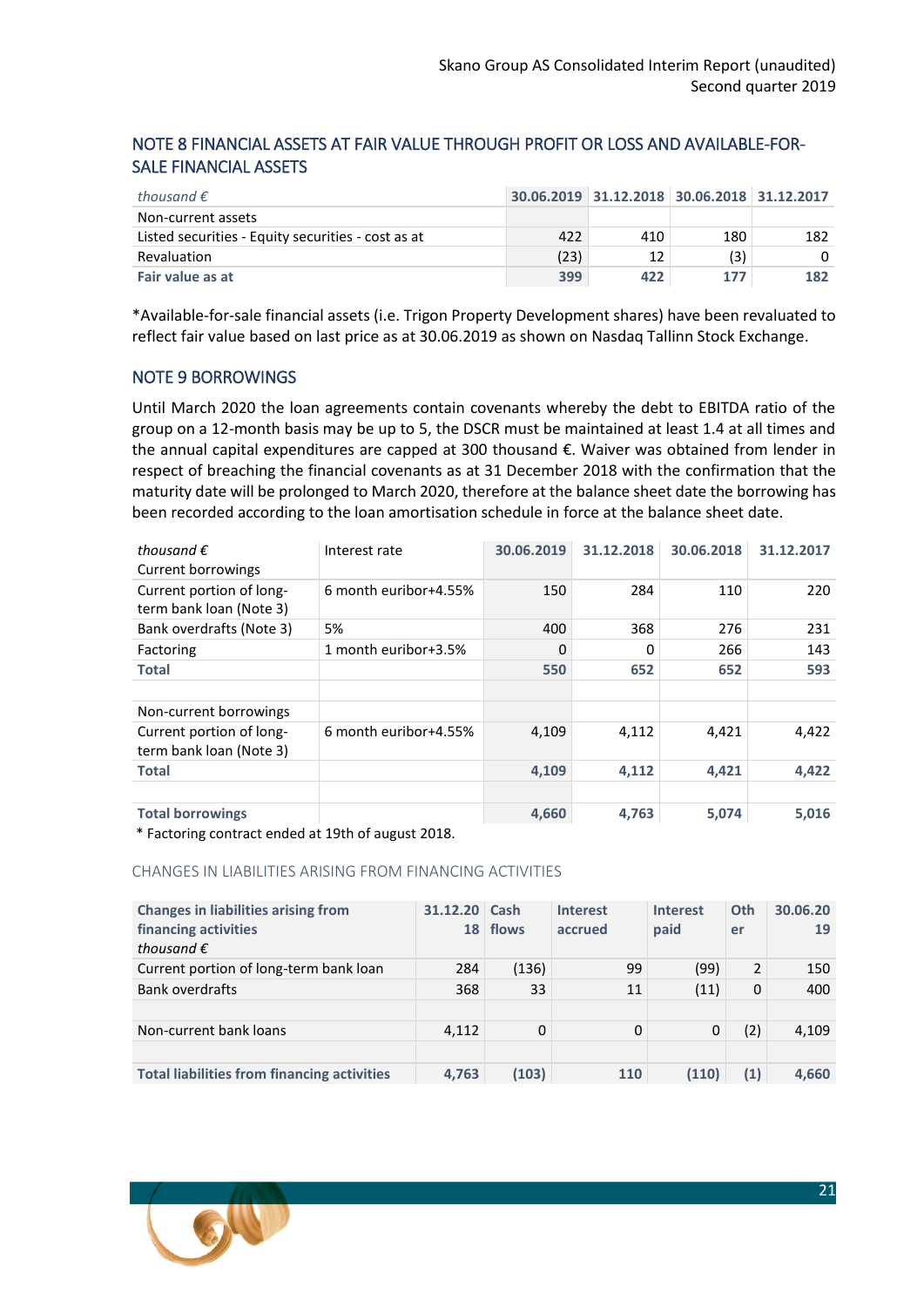## NOTE 8 FINANCIAL ASSETS AT FAIR VALUE THROUGH PROFIT OR LOSS AND AVAILABLE-FOR-SALE FINANCIAL ASSETS

| thousand $\epsilon$                                |      |     | 30.06.2019 31.12.2018 30.06.2018 31.12.2017 |     |
|----------------------------------------------------|------|-----|---------------------------------------------|-----|
| Non-current assets                                 |      |     |                                             |     |
| Listed securities - Equity securities - cost as at | 422  | 410 | 180                                         | 182 |
| Revaluation                                        | (23) | 12  | (3)                                         |     |
| Fair value as at                                   | 399  | 422 | 177                                         | 182 |

\*Available-for-sale financial assets (i.e. Trigon Property Development shares) have been revaluated to reflect fair value based on last price as at 30.06.2019 as shown on Nasdaq Tallinn Stock Exchange.

## <span id="page-20-0"></span>NOTE 9 BORROWINGS

Until March 2020 the loan agreements contain covenants whereby the debt to EBITDA ratio of the group on a 12-month basis may be up to 5, the DSCR must be maintained at least 1.4 at all times and the annual capital expenditures are capped at 300 thousand €. Waiver was obtained from lender in respect of breaching the financial covenants as at 31 December 2018 with the confirmation that the maturity date will be prolonged to March 2020, therefore at the balance sheet date the borrowing has been recorded according to the loan amortisation schedule in force at the balance sheet date.

| Interest rate         | 30.06.2019 | 31.12.2018 | 30.06.2018 | 31.12.2017 |
|-----------------------|------------|------------|------------|------------|
| 6 month euribor+4.55% | 150        | 284        | 110        | 220        |
| 5%                    | 400        | 368        | 276        | 231        |
| 1 month euribor+3.5%  | 0          | 0          | 266        | 143        |
|                       | 550        | 652        | 652        | 593        |
|                       |            |            |            |            |
|                       |            |            |            |            |
| 6 month euribor+4.55% | 4,109      | 4,112      | 4,421      | 4,422      |
|                       | 4,109      | 4,112      | 4,421      | 4,422      |
|                       |            |            |            |            |
|                       | 4,660      | 4,763      | 5,074      | 5,016      |
|                       |            |            |            |            |

\* Factoring contract ended at 19th of august 2018.

#### CHANGES IN LIABILITIES ARISING FROM FINANCING ACTIVITIES

| <b>Changes in liabilities arising from</b><br>financing activities<br>thousand $\epsilon$ | 31.12.20 Cash<br>18 <sup>1</sup> | flows | <b>Interest</b><br>accrued | <b>Interest</b><br>paid | Oth<br>er | 30.06.20<br>19 |
|-------------------------------------------------------------------------------------------|----------------------------------|-------|----------------------------|-------------------------|-----------|----------------|
| Current portion of long-term bank loan                                                    | 284                              | (136) | 99                         | (99)                    | 2         | 150            |
| <b>Bank overdrafts</b>                                                                    | 368                              | 33    | 11                         | (11)                    | 0         | 400            |
|                                                                                           |                                  |       |                            |                         |           |                |
| Non-current bank loans                                                                    | 4,112                            | 0     | 0                          | 0                       | (2)       | 4,109          |
|                                                                                           |                                  |       |                            |                         |           |                |
| <b>Total liabilities from financing activities</b>                                        | 4,763                            | (103) | 110                        | (110)                   | (1)       | 4,660          |

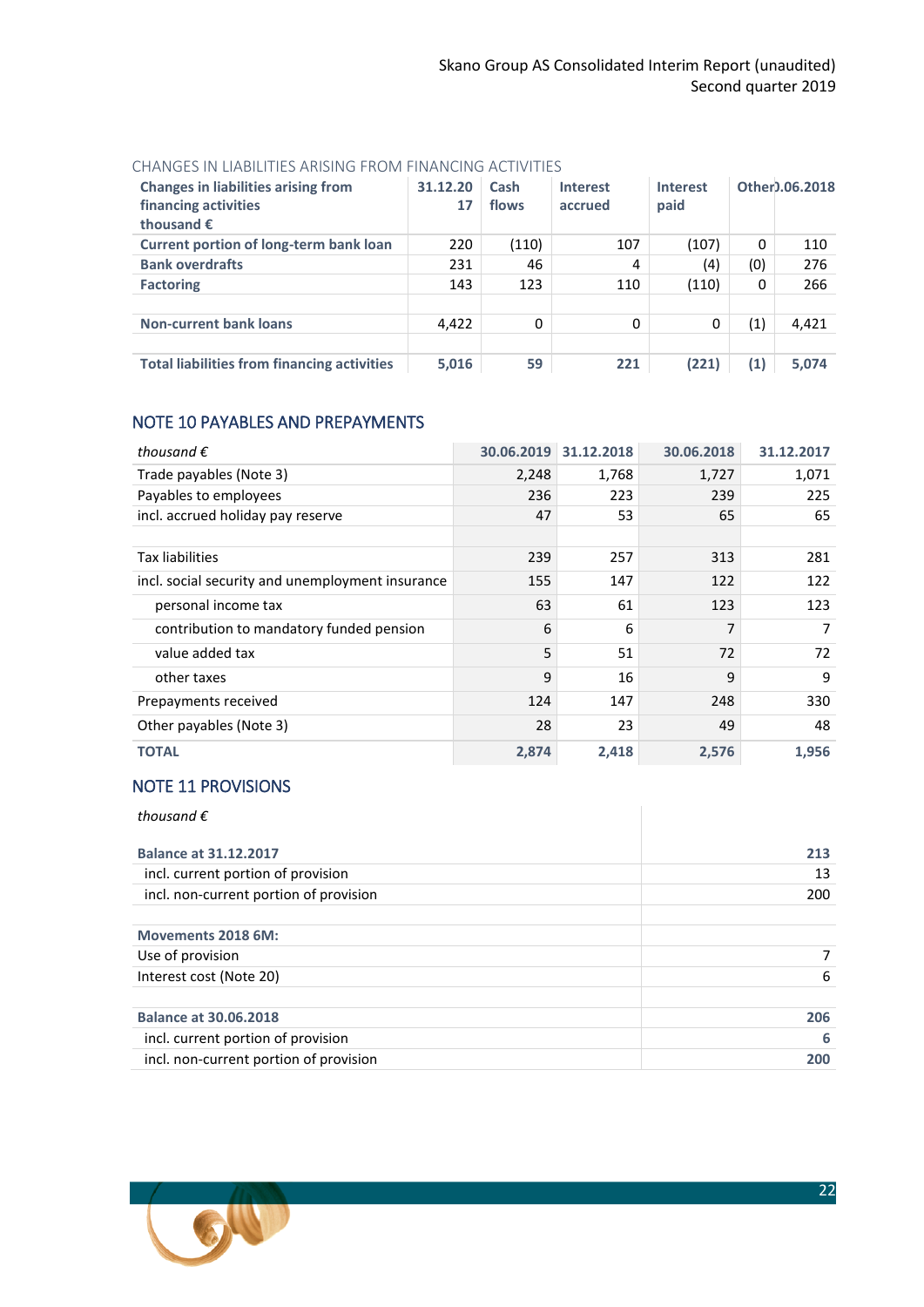#### CHANGES IN LIABILITIES ARISING FROM FINANCING ACTIVITIES

| <b>Changes in liabilities arising from</b><br>financing activities<br>thousand $\epsilon$ | 31.12.20<br>17 | Cash<br>flows | <b>Interest</b><br>accrued | <b>Interest</b><br>paid |     | Other).06.2018 |
|-------------------------------------------------------------------------------------------|----------------|---------------|----------------------------|-------------------------|-----|----------------|
| <b>Current portion of long-term bank loan</b>                                             | 220            | (110)         | 107                        | (107)                   | 0   | 110            |
| <b>Bank overdrafts</b>                                                                    | 231            | 46            | 4                          | (4)                     | (0) | 276            |
| <b>Factoring</b>                                                                          | 143            | 123           | 110                        | (110)                   | 0   | 266            |
|                                                                                           |                |               |                            |                         |     |                |
| <b>Non-current bank loans</b>                                                             | 4,422          | 0             | 0                          | 0                       | (1) | 4,421          |
|                                                                                           |                |               |                            |                         |     |                |
| <b>Total liabilities from financing activities</b>                                        | 5,016          | 59            | 221                        | (221)                   | (1) | 5,074          |

## <span id="page-21-0"></span>NOTE 10 PAYABLES AND PREPAYMENTS

| thousand $\epsilon$                              | 30.06.2019 | 31.12.2018 | 30.06.2018 | 31.12.2017 |
|--------------------------------------------------|------------|------------|------------|------------|
| Trade payables (Note 3)                          | 2,248      | 1,768      | 1,727      | 1,071      |
| Payables to employees                            | 236        | 223        | 239        | 225        |
| incl. accrued holiday pay reserve                | 47         | 53         | 65         | 65         |
|                                                  |            |            |            |            |
| Tax liabilities                                  | 239        | 257        | 313        | 281        |
| incl. social security and unemployment insurance | 155        | 147        | 122        | 122        |
| personal income tax                              | 63         | 61         | 123        | 123        |
| contribution to mandatory funded pension         | 6          | 6          | 7          | 7          |
| value added tax                                  | 5          | 51         | 72         | 72         |
| other taxes                                      | 9          | 16         | 9          | 9          |
| Prepayments received                             | 124        | 147        | 248        | 330        |
| Other payables (Note 3)                          | 28         | 23         | 49         | 48         |
| <b>TOTAL</b>                                     | 2,874      | 2,418      | 2,576      | 1,956      |

## <span id="page-21-1"></span>NOTE 11 PROVISIONS

| thousand $\epsilon$                    |     |
|----------------------------------------|-----|
| <b>Balance at 31.12.2017</b>           | 213 |
| incl. current portion of provision     | 13  |
| incl. non-current portion of provision | 200 |
| Movements 2018 6M:                     |     |
| Use of provision                       |     |
| Interest cost (Note 20)                | 6   |
| <b>Balance at 30.06.2018</b>           | 206 |
| incl. current portion of provision     | 6   |
| incl. non-current portion of provision | 200 |

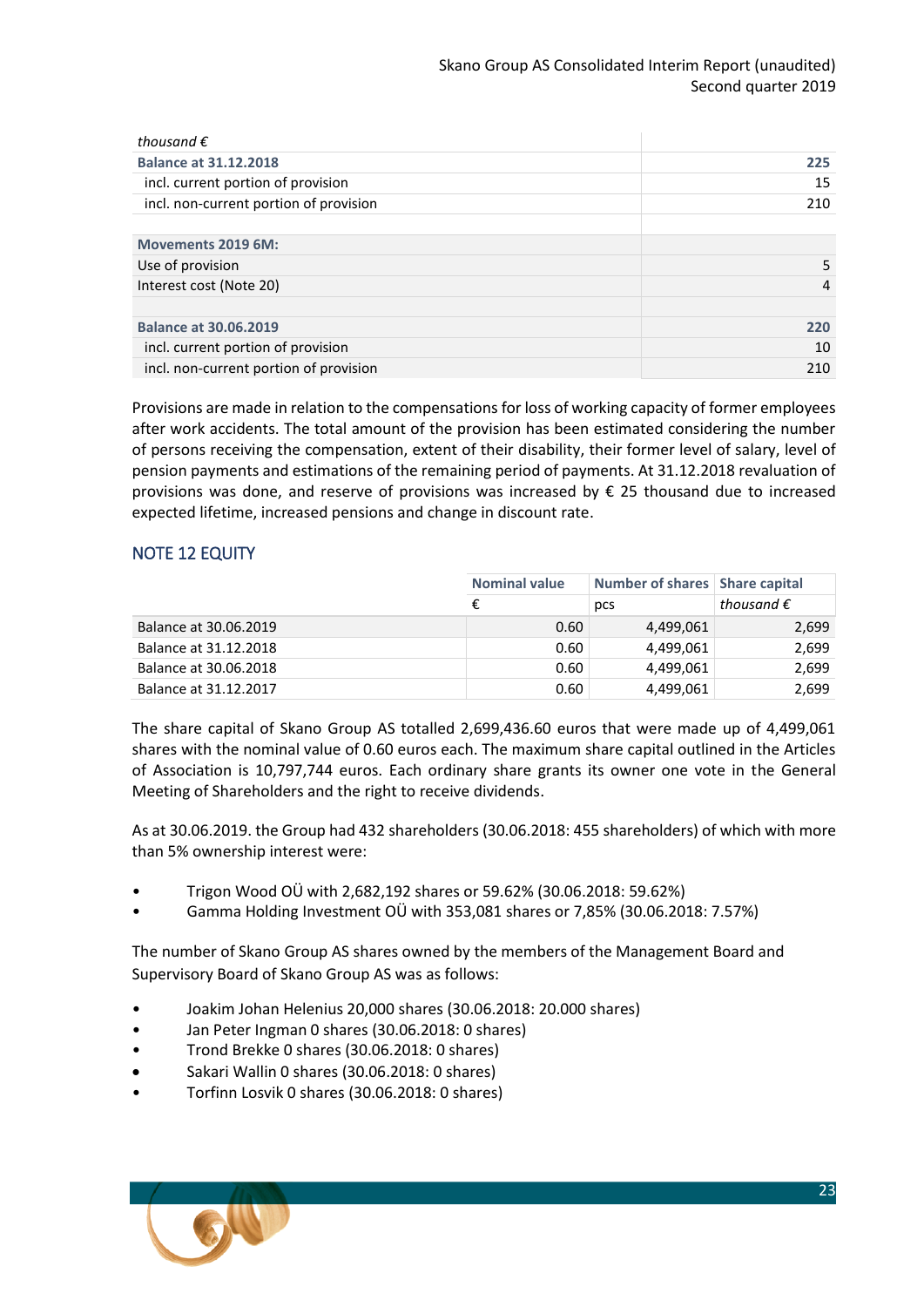| thousand $\epsilon$                    |     |
|----------------------------------------|-----|
| <b>Balance at 31.12.2018</b>           | 225 |
| incl. current portion of provision     | 15  |
| incl. non-current portion of provision | 210 |
|                                        |     |
| Movements 2019 6M:                     |     |
| Use of provision                       | 5   |
| Interest cost (Note 20)                | 4   |
|                                        |     |
| <b>Balance at 30.06.2019</b>           | 220 |
| incl. current portion of provision     | 10  |
| incl. non-current portion of provision | 210 |
|                                        |     |

Provisions are made in relation to the compensations for loss of working capacity of former employees after work accidents. The total amount of the provision has been estimated considering the number of persons receiving the compensation, extent of their disability, their former level of salary, level of pension payments and estimations of the remaining period of payments. At 31.12.2018 revaluation of provisions was done, and reserve of provisions was increased by € 25 thousand due to increased expected lifetime, increased pensions and change in discount rate.

## <span id="page-22-0"></span>NOTE 12 EQUITY

|                       | <b>Nominal value</b> | Number of shares   Share capital |                     |
|-----------------------|----------------------|----------------------------------|---------------------|
|                       | €                    | pcs                              | thousand $\epsilon$ |
| Balance at 30.06.2019 | 0.60                 | 4,499,061                        | 2,699               |
| Balance at 31.12.2018 | 0.60                 | 4,499,061                        | 2,699               |
| Balance at 30.06.2018 | 0.60                 | 4,499,061                        | 2,699               |
| Balance at 31.12.2017 | 0.60                 | 4,499,061                        | 2,699               |

The share capital of Skano Group AS totalled 2,699,436.60 euros that were made up of 4,499,061 shares with the nominal value of 0.60 euros each. The maximum share capital outlined in the Articles of Association is 10,797,744 euros. Each ordinary share grants its owner one vote in the General Meeting of Shareholders and the right to receive dividends.

As at 30.06.2019. the Group had 432 shareholders (30.06.2018: 455 shareholders) of which with more than 5% ownership interest were:

- Trigon Wood OÜ with 2,682,192 shares or 59.62% (30.06.2018: 59.62%)
- Gamma Holding Investment OÜ with 353,081 shares or 7,85% (30.06.2018: 7.57%)

The number of Skano Group AS shares owned by the members of the Management Board and Supervisory Board of Skano Group AS was as follows:

- Joakim Johan Helenius 20,000 shares (30.06.2018: 20.000 shares)
- Jan Peter Ingman 0 shares (30.06.2018: 0 shares)
- Trond Brekke 0 shares (30.06.2018: 0 shares)
- Sakari Wallin 0 shares (30.06.2018: 0 shares)
- Torfinn Losvik 0 shares (30.06.2018: 0 shares)

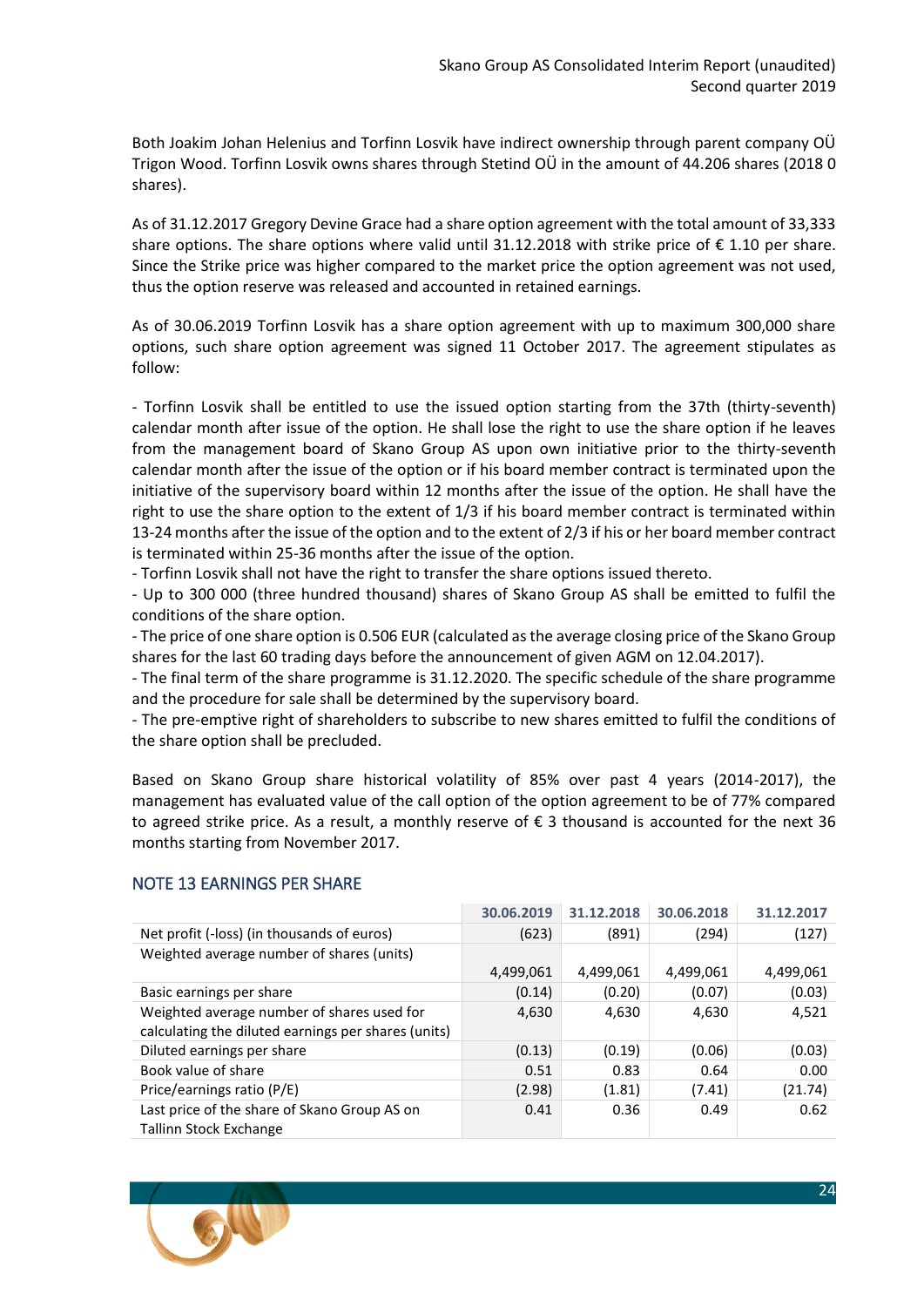Both Joakim Johan Helenius and Torfinn Losvik have indirect ownership through parent company OÜ Trigon Wood. Torfinn Losvik owns shares through Stetind OÜ in the amount of 44.206 shares (2018 0 shares).

As of 31.12.2017 Gregory Devine Grace had a share option agreement with the total amount of 33,333 share options. The share options where valid until 31.12.2018 with strike price of  $\epsilon$  1.10 per share. Since the Strike price was higher compared to the market price the option agreement was not used, thus the option reserve was released and accounted in retained earnings.

As of 30.06.2019 Torfinn Losvik has a share option agreement with up to maximum 300,000 share options, such share option agreement was signed 11 October 2017. The agreement stipulates as follow:

- Torfinn Losvik shall be entitled to use the issued option starting from the 37th (thirty-seventh) calendar month after issue of the option. He shall lose the right to use the share option if he leaves from the management board of Skano Group AS upon own initiative prior to the thirty-seventh calendar month after the issue of the option or if his board member contract is terminated upon the initiative of the supervisory board within 12 months after the issue of the option. He shall have the right to use the share option to the extent of 1/3 if his board member contract is terminated within 13-24 months after the issue of the option and to the extent of 2/3 if his or her board member contract is terminated within 25-36 months after the issue of the option.

- Torfinn Losvik shall not have the right to transfer the share options issued thereto.

- Up to 300 000 (three hundred thousand) shares of Skano Group AS shall be emitted to fulfil the conditions of the share option.

- The price of one share option is 0.506 EUR (calculated as the average closing price of the Skano Group shares for the last 60 trading days before the announcement of given AGM on 12.04.2017).

- The final term of the share programme is 31.12.2020. The specific schedule of the share programme and the procedure for sale shall be determined by the supervisory board.

- The pre-emptive right of shareholders to subscribe to new shares emitted to fulfil the conditions of the share option shall be precluded.

Based on Skano Group share historical volatility of 85% over past 4 years (2014-2017), the management has evaluated value of the call option of the option agreement to be of 77% compared to agreed strike price. As a result, a monthly reserve of € 3 thousand is accounted for the next 36 months starting from November 2017.

|                                                     | 30.06.2019 | 31.12.2018 | 30.06.2018 | 31.12.2017 |
|-----------------------------------------------------|------------|------------|------------|------------|
| Net profit (-loss) (in thousands of euros)          | (623)      | (891)      | (294)      | (127)      |
| Weighted average number of shares (units)           |            |            |            |            |
|                                                     | 4,499,061  | 4,499,061  | 4,499,061  | 4,499,061  |
| Basic earnings per share                            | (0.14)     | (0.20)     | (0.07)     | (0.03)     |
| Weighted average number of shares used for          | 4,630      | 4,630      | 4,630      | 4,521      |
| calculating the diluted earnings per shares (units) |            |            |            |            |
| Diluted earnings per share                          | (0.13)     | (0.19)     | (0.06)     | (0.03)     |
| Book value of share                                 | 0.51       | 0.83       | 0.64       | 0.00       |
| Price/earnings ratio (P/E)                          | (2.98)     | (1.81)     | (7.41)     | (21.74)    |
| Last price of the share of Skano Group AS on        | 0.41       | 0.36       | 0.49       | 0.62       |
| Tallinn Stock Exchange                              |            |            |            |            |

## <span id="page-23-0"></span>NOTE 13 EARNINGS PER SHARE

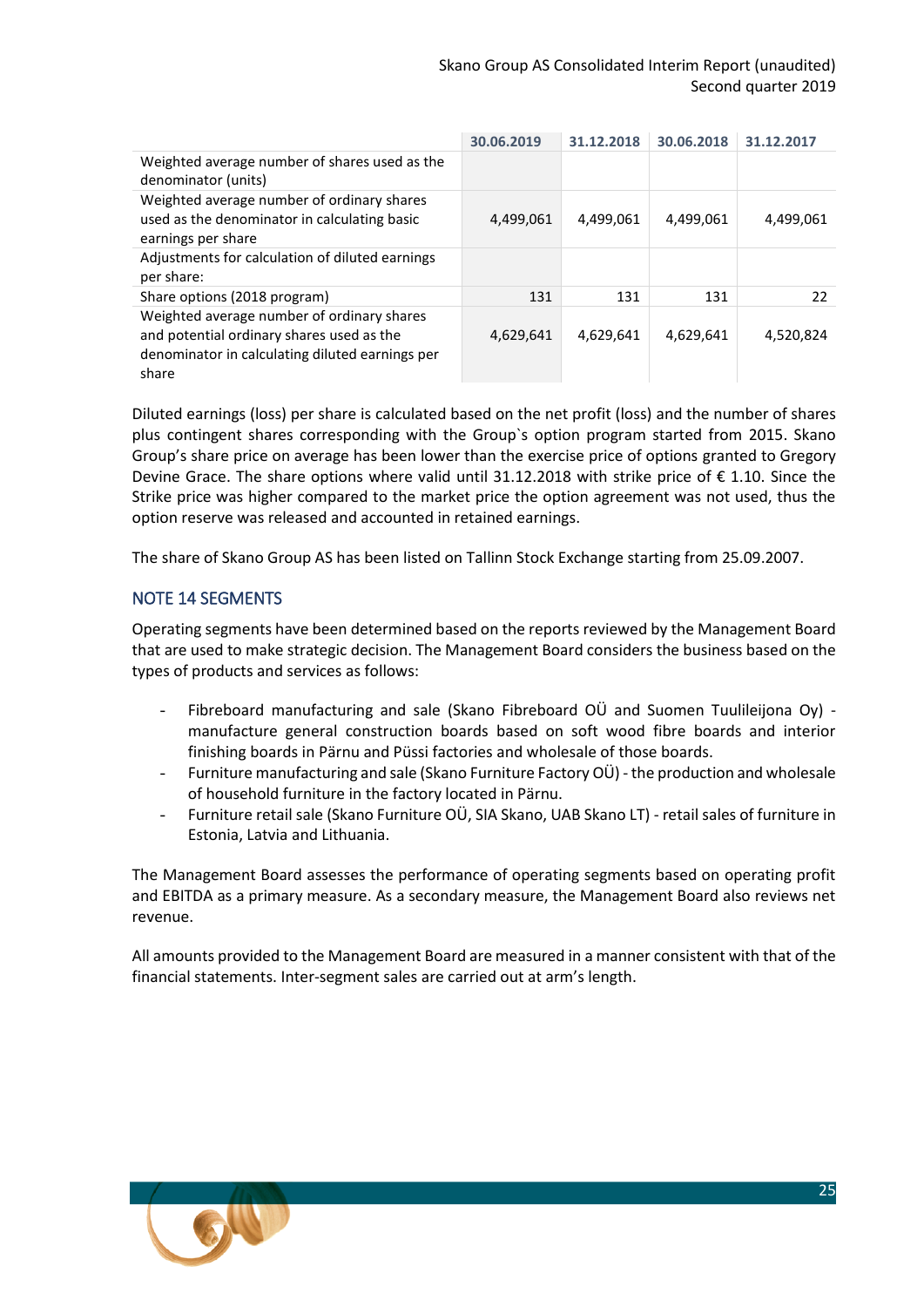|                                                                                                                                                     | 30.06.2019 | 31.12.2018 | 30.06.2018 | 31.12.2017 |
|-----------------------------------------------------------------------------------------------------------------------------------------------------|------------|------------|------------|------------|
| Weighted average number of shares used as the<br>denominator (units)                                                                                |            |            |            |            |
| Weighted average number of ordinary shares<br>used as the denominator in calculating basic<br>earnings per share                                    | 4,499,061  | 4,499,061  | 4,499,061  | 4,499,061  |
| Adjustments for calculation of diluted earnings<br>per share:                                                                                       |            |            |            |            |
| Share options (2018 program)                                                                                                                        | 131        | 131        | 131        | 22         |
| Weighted average number of ordinary shares<br>and potential ordinary shares used as the<br>denominator in calculating diluted earnings per<br>share | 4,629,641  | 4,629,641  | 4,629,641  | 4,520,824  |

Diluted earnings (loss) per share is calculated based on the net profit (loss) and the number of shares plus contingent shares corresponding with the Group`s option program started from 2015. Skano Group's share price on average has been lower than the exercise price of options granted to Gregory Devine Grace. The share options where valid until 31.12.2018 with strike price of € 1.10. Since the Strike price was higher compared to the market price the option agreement was not used, thus the option reserve was released and accounted in retained earnings.

The share of Skano Group AS has been listed on Tallinn Stock Exchange starting from 25.09.2007.

## <span id="page-24-0"></span>NOTE 14 SEGMENTS

Operating segments have been determined based on the reports reviewed by the Management Board that are used to make strategic decision. The Management Board considers the business based on the types of products and services as follows:

- Fibreboard manufacturing and sale (Skano Fibreboard OÜ and Suomen Tuulileijona Oy) manufacture general construction boards based on soft wood fibre boards and interior finishing boards in Pärnu and Püssi factories and wholesale of those boards.
- Furniture manufacturing and sale (Skano Furniture Factory OÜ) the production and wholesale of household furniture in the factory located in Pärnu.
- Furniture retail sale (Skano Furniture OÜ, SIA Skano, UAB Skano LT) retail sales of furniture in Estonia, Latvia and Lithuania.

The Management Board assesses the performance of operating segments based on operating profit and EBITDA as a primary measure. As a secondary measure, the Management Board also reviews net revenue.

All amounts provided to the Management Board are measured in a manner consistent with that of the financial statements. Inter-segment sales are carried out at arm's length.

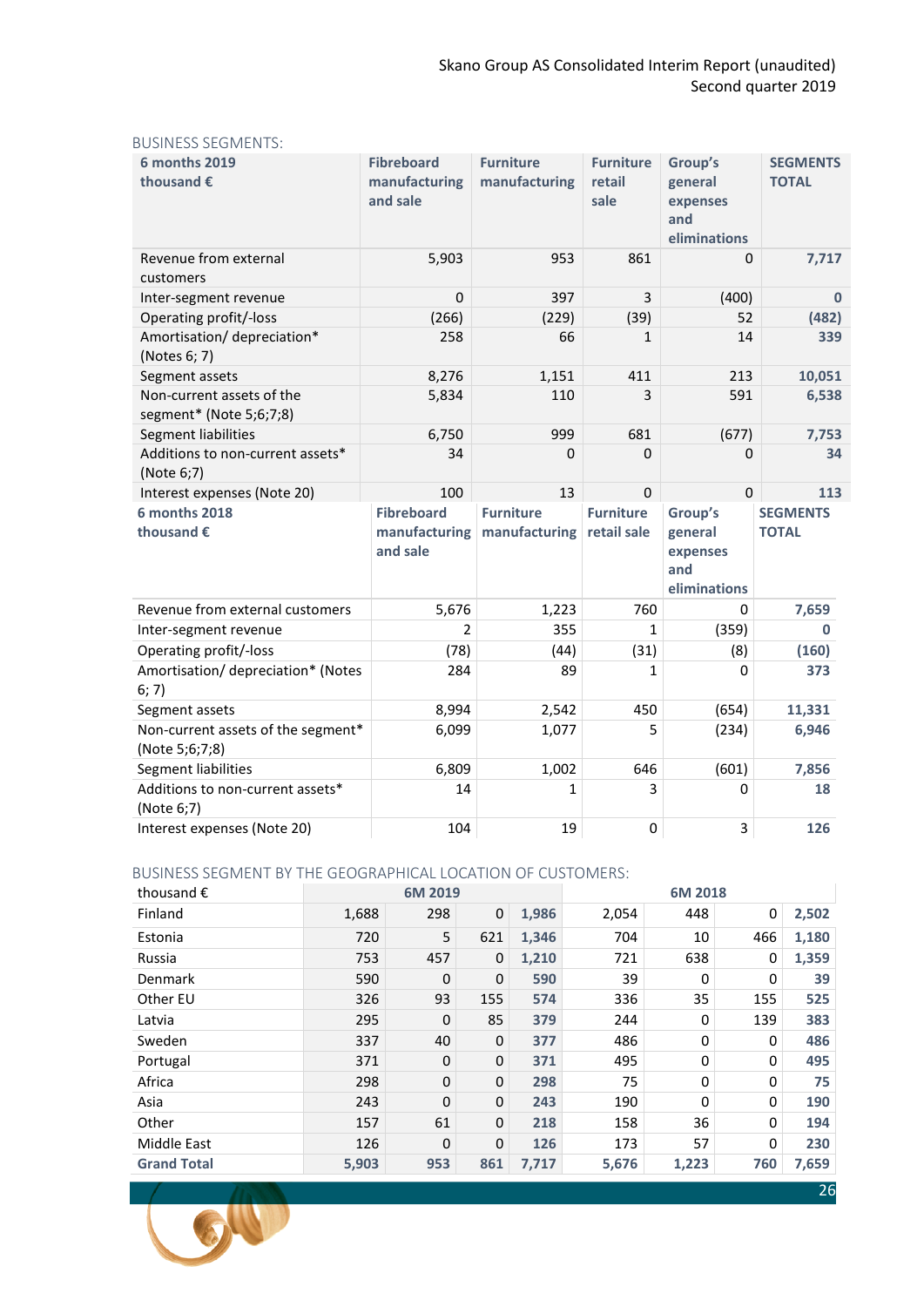| <b>6 months 2019</b><br>thousand €                   | <b>Fibreboard</b><br>manufacturing<br>and sale | <b>Furniture</b><br>manufacturing | <b>Furniture</b><br>retail<br>sale | Group's<br>general<br>expenses<br>and<br>eliminations | <b>SEGMENTS</b><br><b>TOTAL</b> |
|------------------------------------------------------|------------------------------------------------|-----------------------------------|------------------------------------|-------------------------------------------------------|---------------------------------|
| Revenue from external<br>customers                   | 5,903                                          | 953                               | 861                                | 0                                                     | 7,717                           |
| Inter-segment revenue                                | 0                                              | 397                               | 3                                  | (400)                                                 | $\bf{0}$                        |
| Operating profit/-loss                               | (266)                                          | (229)                             | (39)                               | 52                                                    | (482)                           |
| Amortisation/depreciation*<br>(Notes 6; 7)           | 258                                            | 66                                | $\mathbf{1}$                       | 14                                                    | 339                             |
| Segment assets                                       | 8,276                                          | 1,151                             | 411                                | 213                                                   | 10,051                          |
| Non-current assets of the<br>segment* (Note 5;6;7;8) | 5,834                                          | 110                               | 3                                  | 591                                                   | 6,538                           |
| Segment liabilities                                  | 6,750                                          | 999                               | 681                                | (677)                                                 | 7,753                           |
| Additions to non-current assets*<br>(Note 6;7)       | 34                                             | $\Omega$                          | $\Omega$                           | $\Omega$                                              | 34                              |
| Interest expenses (Note 20)                          | 100                                            | 13                                | $\Omega$                           | $\Omega$                                              | 113                             |
| <b>6 months 2018</b><br>thousand €                   | <b>Fibreboard</b><br>manufacturing<br>and sale | <b>Furniture</b><br>manufacturing | <b>Furniture</b><br>retail sale    | Group's<br>general<br>expenses<br>and<br>eliminations | <b>SEGMENTS</b><br><b>TOTAL</b> |
| Revenue from external customers                      | 5,676                                          | 1,223                             | 760                                | 0                                                     | 7,659                           |
| Inter-segment revenue                                | $\overline{2}$                                 | 355                               | $\mathbf{1}$                       | (359)                                                 | 0                               |
| Operating profit/-loss                               | (78)                                           | (44)                              | (31)                               | (8)                                                   | (160)                           |
| Amortisation/depreciation* (Notes<br>6; 7)           | 284                                            | 89                                | $\mathbf{1}$                       | 0                                                     | 373                             |
| Segment assets                                       | 8,994                                          | 2,542                             | 450                                | (654)                                                 | 11,331                          |
| Non-current assets of the segment*<br>(Note 5;6;7;8) | 6,099                                          | 1,077                             | 5                                  | (234)                                                 | 6,946                           |
| Segment liabilities                                  | 6,809                                          | 1,002                             | 646                                | (601)                                                 | 7,856                           |
| Additions to non-current assets*                     |                                                | 1                                 | 3                                  | 0                                                     | 18                              |
| (Note 6;7)<br>Interest expenses (Note 20)            | 14<br>104                                      | 19                                | 0                                  | 3                                                     | 126                             |

#### BUSINESS SEGMENTS:

#### BUSINESS SEGMENT BY THE GEOGRAPHICAL LOCATION OF CUSTOMERS:

| thousand $\epsilon$ |       | 6M 2019  |             |       |       | 6M 2018 |     |       |
|---------------------|-------|----------|-------------|-------|-------|---------|-----|-------|
| Finland             | 1,688 | 298      | $\mathbf 0$ | 1,986 | 2,054 | 448     | 0   | 2,502 |
| Estonia             | 720   | 5        | 621         | 1,346 | 704   | 10      | 466 | 1,180 |
| Russia              | 753   | 457      | 0           | 1,210 | 721   | 638     | 0   | 1,359 |
| Denmark             | 590   | 0        | 0           | 590   | 39    | 0       | 0   | 39    |
| Other EU            | 326   | 93       | 155         | 574   | 336   | 35      | 155 | 525   |
| Latvia              | 295   | 0        | 85          | 379   | 244   | 0       | 139 | 383   |
| Sweden              | 337   | 40       | 0           | 377   | 486   | 0       | 0   | 486   |
| Portugal            | 371   | 0        | 0           | 371   | 495   | 0       | 0   | 495   |
| Africa              | 298   | 0        | 0           | 298   | 75    | 0       | 0   | 75    |
| Asia                | 243   | $\Omega$ | 0           | 243   | 190   | 0       | 0   | 190   |
| Other               | 157   | 61       | 0           | 218   | 158   | 36      | 0   | 194   |
| Middle East         | 126   | 0        | 0           | 126   | 173   | 57      | 0   | 230   |
| <b>Grand Total</b>  | 5,903 | 953      | 861         | 7,717 | 5,676 | 1,223   | 760 | 7,659 |

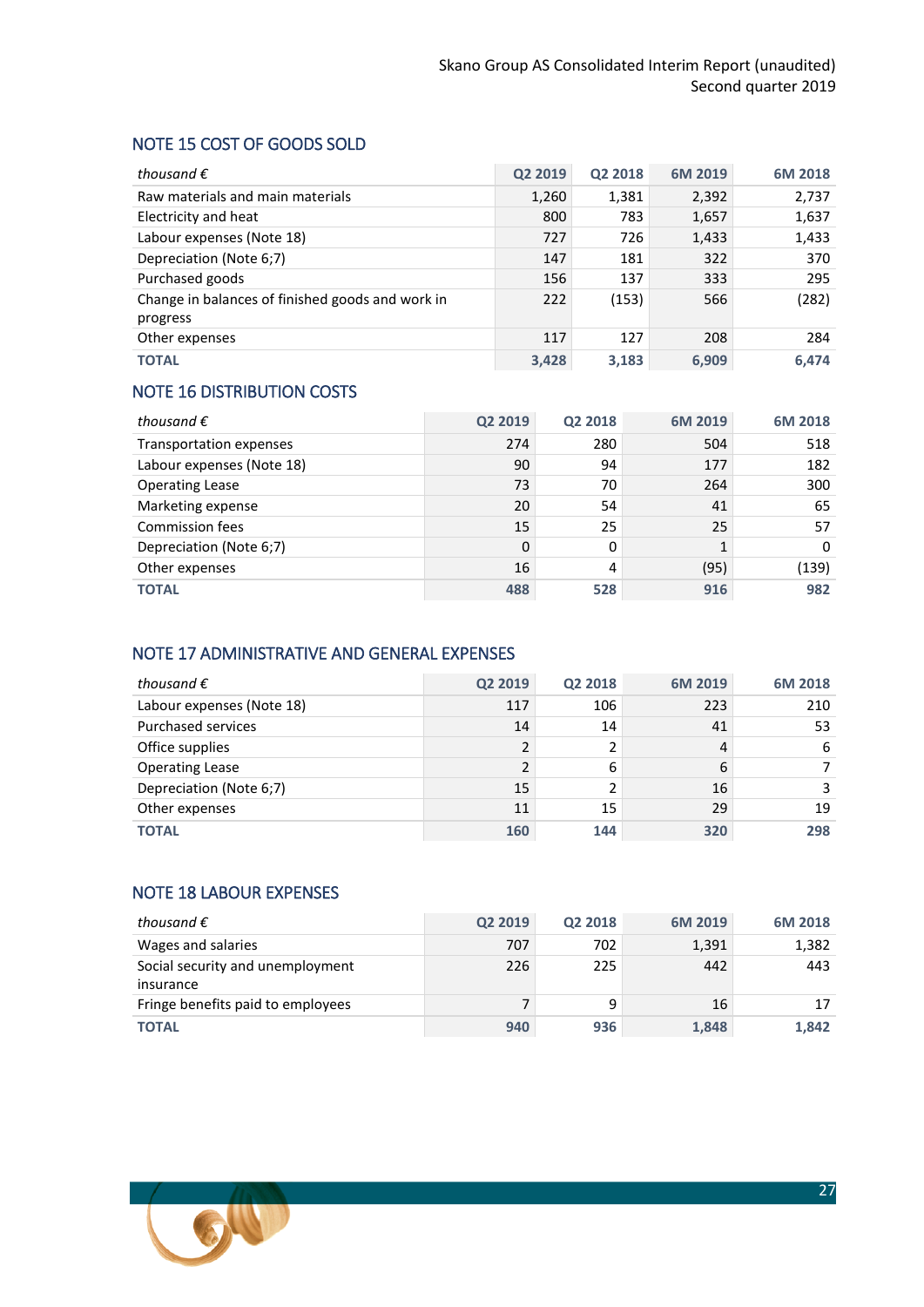## <span id="page-26-0"></span>NOTE 15 COST OF GOODS SOLD

| thousand $\epsilon$                                          | Q2 2019 | Q2 2018 | 6M 2019 | 6M 2018 |
|--------------------------------------------------------------|---------|---------|---------|---------|
| Raw materials and main materials                             | 1,260   | 1,381   | 2,392   | 2,737   |
| Electricity and heat                                         | 800     | 783     | 1,657   | 1,637   |
| Labour expenses (Note 18)                                    | 727     | 726     | 1,433   | 1,433   |
| Depreciation (Note 6;7)                                      | 147     | 181     | 322     | 370     |
| Purchased goods                                              | 156     | 137     | 333     | 295     |
| Change in balances of finished goods and work in<br>progress | 222     | (153)   | 566     | (282)   |
| Other expenses                                               | 117     | 127     | 208     | 284     |
| <b>TOTAL</b>                                                 | 3,428   | 3,183   | 6,909   | 6,474   |

## <span id="page-26-1"></span>NOTE 16 DISTRIBUTION COSTS

| thousand $\epsilon$       | Q2 2019  | Q2 2018 | 6M 2019 | 6M 2018 |
|---------------------------|----------|---------|---------|---------|
| Transportation expenses   | 274      | 280     | 504     | 518     |
| Labour expenses (Note 18) | 90       | 94      | 177     | 182     |
| <b>Operating Lease</b>    | 73       | 70      | 264     | 300     |
| Marketing expense         | 20       | 54      | 41      | 65      |
| <b>Commission fees</b>    | 15       | 25      | 25      | 57      |
| Depreciation (Note 6;7)   | $\Omega$ | 0       |         | 0       |
| Other expenses            | 16       | 4       | (95)    | (139)   |
| <b>TOTAL</b>              | 488      | 528     | 916     | 982     |

## <span id="page-26-2"></span>NOTE 17 ADMINISTRATIVE AND GENERAL EXPENSES

| thousand $\epsilon$       | Q2 2019 | Q2 2018 | 6M 2019 | 6M 2018 |
|---------------------------|---------|---------|---------|---------|
| Labour expenses (Note 18) | 117     | 106     | 223     | 210     |
| <b>Purchased services</b> | 14      | 14      | 41      | 53      |
| Office supplies           |         |         | 4       | 6       |
| <b>Operating Lease</b>    |         | 6       | 6       |         |
| Depreciation (Note 6;7)   | 15      |         | 16      | 3       |
| Other expenses            | 11      | 15      | 29      | 19      |
| <b>TOTAL</b>              | 160     | 144     | 320     | 298     |

## <span id="page-26-3"></span>NOTE 18 LABOUR EXPENSES

| thousand $\epsilon$                           | Q2 2019 | Q2 2018 | 6M 2019 | 6M 2018 |
|-----------------------------------------------|---------|---------|---------|---------|
| Wages and salaries                            | 707     | 702     | 1,391   | 1,382   |
| Social security and unemployment<br>insurance | 226     | 225     | 442     | 443     |
| Fringe benefits paid to employees             |         | 9       | 16      | 17      |
| <b>TOTAL</b>                                  | 940     | 936     | 1,848   | 1,842   |

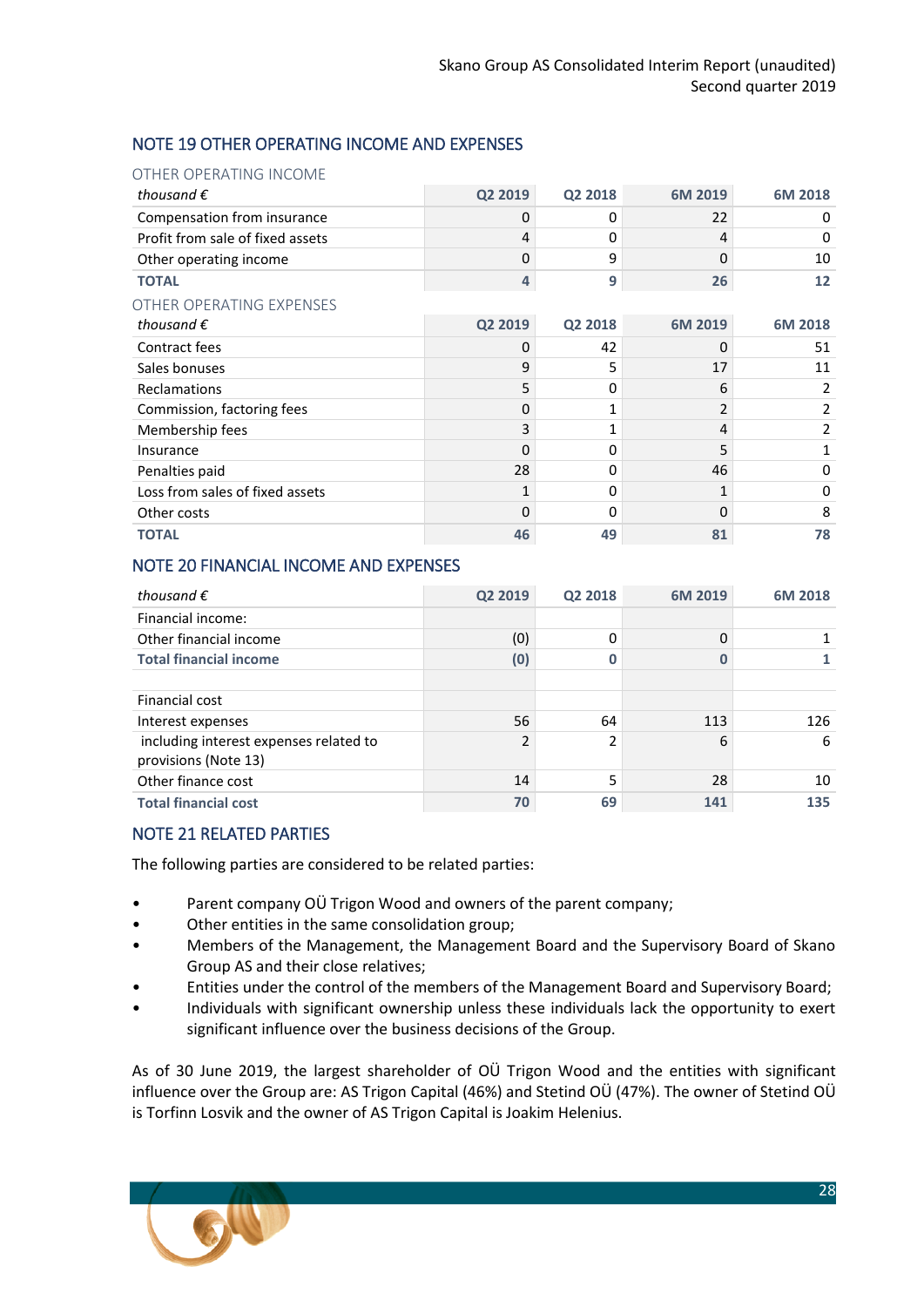## <span id="page-27-0"></span>NOTE 19 OTHER OPERATING INCOME AND EXPENSES

#### OTHER OPERATING INCOME

| thousand $\epsilon$              | Q2 2019 | Q2 2018 | 6M 2019 | 6M 2018 |
|----------------------------------|---------|---------|---------|---------|
| Compensation from insurance      | 0       | 0       | 22      | 0       |
| Profit from sale of fixed assets | 4       | 0       | 4       | 0       |
| Other operating income           | 0       | 9       | 0       | 10      |
| <b>TOTAL</b>                     | 4       | 9       | 26      | 12      |
| OTHER OPERATING EXPENSES         |         |         |         |         |
| thousand $\epsilon$              | Q2 2019 | Q2 2018 | 6M 2019 | 6M 2018 |
| Contract fees                    | 0       | 42      | 0       | 51      |
| Sales bonuses                    | 9       | 5       | 17      | 11      |
| Reclamations                     | 5       | 0       | 6       | 2       |
| Commission, factoring fees       | 0       | 1       | 2       | 2       |
| Membership fees                  | 3       |         | 4       | 2       |
| Insurance                        | 0       | 0       | 5       | 1       |
| Penalties paid                   | 28      | 0       | 46      | 0       |
| Loss from sales of fixed assets  | 1       | 0       | 1       | 0       |
| Other costs                      | 0       | 0       | 0       | 8       |
| <b>TOTAL</b>                     | 46      | 49      | 81      | 78      |

## <span id="page-27-1"></span>NOTE 20 FINANCIAL INCOME AND EXPENSES

| thousand $\epsilon$                                            | Q2 2019        | Q2 2018 | 6M 2019 | 6M 2018 |
|----------------------------------------------------------------|----------------|---------|---------|---------|
| Financial income:                                              |                |         |         |         |
| Other financial income                                         | (0)            | 0       | 0       |         |
| <b>Total financial income</b>                                  | (0)            |         |         |         |
|                                                                |                |         |         |         |
| Financial cost                                                 |                |         |         |         |
| Interest expenses                                              | 56             | 64      | 113     | 126     |
| including interest expenses related to<br>provisions (Note 13) | $\overline{2}$ | 2       | 6       | 6       |
| Other finance cost                                             | 14             | 5       | 28      | 10      |
| <b>Total financial cost</b>                                    | 70             | 69      | 141     | 135     |

## <span id="page-27-2"></span>NOTE 21 RELATED PARTIES

The following parties are considered to be related parties:

- Parent company OÜ Trigon Wood and owners of the parent company;
- Other entities in the same consolidation group;
- Members of the Management, the Management Board and the Supervisory Board of Skano Group AS and their close relatives;
- Entities under the control of the members of the Management Board and Supervisory Board;
- Individuals with significant ownership unless these individuals lack the opportunity to exert significant influence over the business decisions of the Group.

As of 30 June 2019, the largest shareholder of OÜ Trigon Wood and the entities with significant influence over the Group are: AS Trigon Capital (46%) and Stetind OÜ (47%). The owner of Stetind OÜ is Torfinn Losvik and the owner of AS Trigon Capital is Joakim Helenius.